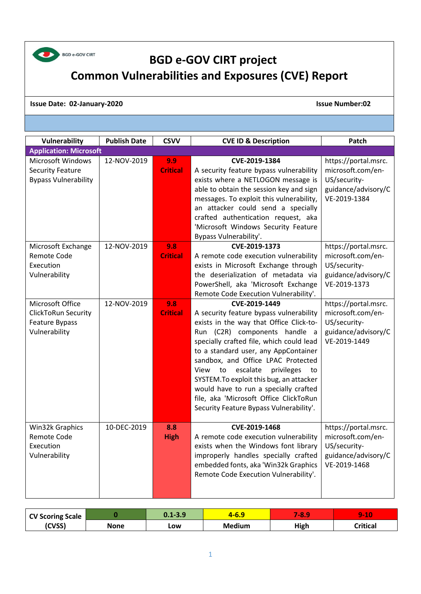

## **BGD e-GOV CIRT project Common Vulnerabilities and Exposures (CVE) Report**

## **Issue Date: 02-January-2020 Issue Number:02**

| Vulnerability                                                                                                                        | <b>Publish Date</b>        | <b>CSVV</b>                                      | <b>CVE ID &amp; Description</b>                                                                                                                                                                                                                                                                                                                                                                                                                                                        | Patch                                                                                                                                                         |
|--------------------------------------------------------------------------------------------------------------------------------------|----------------------------|--------------------------------------------------|----------------------------------------------------------------------------------------------------------------------------------------------------------------------------------------------------------------------------------------------------------------------------------------------------------------------------------------------------------------------------------------------------------------------------------------------------------------------------------------|---------------------------------------------------------------------------------------------------------------------------------------------------------------|
| <b>Application: Microsoft</b>                                                                                                        |                            |                                                  |                                                                                                                                                                                                                                                                                                                                                                                                                                                                                        |                                                                                                                                                               |
| <b>Microsoft Windows</b><br><b>Security Feature</b><br><b>Bypass Vulnerability</b><br>Microsoft Exchange<br>Remote Code<br>Execution | 12-NOV-2019<br>12-NOV-2019 | 9.9<br><b>Critical</b><br>9.8<br><b>Critical</b> | CVE-2019-1384<br>A security feature bypass vulnerability<br>exists where a NETLOGON message is<br>able to obtain the session key and sign<br>messages. To exploit this vulnerability,<br>an attacker could send a specially<br>crafted authentication request, aka<br>'Microsoft Windows Security Feature<br>Bypass Vulnerability'.<br>CVE-2019-1373<br>A remote code execution vulnerability<br>exists in Microsoft Exchange through                                                  | https://portal.msrc.<br>microsoft.com/en-<br>US/security-<br>guidance/advisory/C<br>VE-2019-1384<br>https://portal.msrc.<br>microsoft.com/en-<br>US/security- |
| Vulnerability                                                                                                                        |                            |                                                  | the deserialization of metadata via<br>PowerShell, aka 'Microsoft Exchange<br>Remote Code Execution Vulnerability'.                                                                                                                                                                                                                                                                                                                                                                    | guidance/advisory/C<br>VE-2019-1373                                                                                                                           |
| Microsoft Office<br><b>ClickToRun Security</b><br>Feature Bypass<br>Vulnerability                                                    | 12-NOV-2019                | 9.8<br><b>Critical</b>                           | CVE-2019-1449<br>A security feature bypass vulnerability<br>exists in the way that Office Click-to-<br>Run (C2R) components handle a<br>specially crafted file, which could lead<br>to a standard user, any AppContainer<br>sandbox, and Office LPAC Protected<br>escalate<br>View<br>to<br>privileges<br>to<br>SYSTEM. To exploit this bug, an attacker<br>would have to run a specially crafted<br>file, aka 'Microsoft Office ClickToRun<br>Security Feature Bypass Vulnerability'. | https://portal.msrc.<br>microsoft.com/en-<br>US/security-<br>guidance/advisory/C<br>VE-2019-1449                                                              |
| Win32k Graphics<br>Remote Code<br>Execution<br>Vulnerability                                                                         | 10-DEC-2019                | 8.8<br><b>High</b>                               | CVE-2019-1468<br>A remote code execution vulnerability<br>exists when the Windows font library<br>improperly handles specially crafted<br>embedded fonts, aka 'Win32k Graphics<br>Remote Code Execution Vulnerability'.                                                                                                                                                                                                                                                                | https://portal.msrc.<br>microsoft.com/en-<br>US/security-<br>guidance/advisory/C<br>VE-2019-1468                                                              |

| <b>CV Scoring Scale</b> |      | $0.1 - 3.9$ | <u> Form</u>  | O<br>481 | -10<br><b>Second</b><br>. L U |
|-------------------------|------|-------------|---------------|----------|-------------------------------|
| (CVSS)                  | None | LOW         | <b>Medium</b> | High     | <b>Critical</b>               |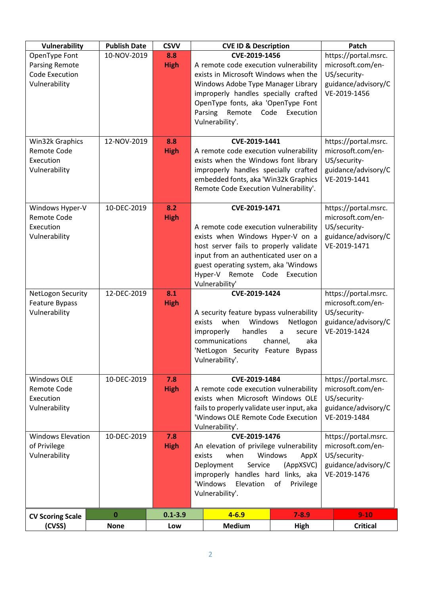| Vulnerability                                                             | <b>Publish Date</b> | <b>CSVV</b>        | <b>CVE ID &amp; Description</b>                                                                                                                                                                                                                                                                                                              |                                                                                                  | Patch                                                                                            |
|---------------------------------------------------------------------------|---------------------|--------------------|----------------------------------------------------------------------------------------------------------------------------------------------------------------------------------------------------------------------------------------------------------------------------------------------------------------------------------------------|--------------------------------------------------------------------------------------------------|--------------------------------------------------------------------------------------------------|
| OpenType Font<br><b>Parsing Remote</b><br>Code Execution<br>Vulnerability | 10-NOV-2019         | 8.8<br><b>High</b> | CVE-2019-1456<br>A remote code execution vulnerability<br>exists in Microsoft Windows when the<br>Windows Adobe Type Manager Library<br>improperly handles specially crafted<br>OpenType fonts, aka 'OpenType Font<br>Parsing<br>Remote<br>Code<br>Vulnerability'.                                                                           | https://portal.msrc.<br>microsoft.com/en-<br>US/security-<br>guidance/advisory/C<br>VE-2019-1456 |                                                                                                  |
| Win32k Graphics<br><b>Remote Code</b><br>Execution<br>Vulnerability       | 12-NOV-2019         | 8.8<br><b>High</b> | CVE-2019-1441<br>A remote code execution vulnerability<br>exists when the Windows font library<br>improperly handles specially crafted<br>embedded fonts, aka 'Win32k Graphics<br>Remote Code Execution Vulnerability'.                                                                                                                      |                                                                                                  | https://portal.msrc.<br>microsoft.com/en-<br>US/security-<br>guidance/advisory/C<br>VE-2019-1441 |
| Windows Hyper-V<br><b>Remote Code</b><br>Execution<br>Vulnerability       | 10-DEC-2019         | 8.2<br><b>High</b> | CVE-2019-1471<br>A remote code execution vulnerability<br>exists when Windows Hyper-V on a<br>host server fails to properly validate<br>input from an authenticated user on a<br>guest operating system, aka 'Windows<br>Hyper-V Remote Code<br>Vulnerability'                                                                               | Execution                                                                                        | https://portal.msrc.<br>microsoft.com/en-<br>US/security-<br>guidance/advisory/C<br>VE-2019-1471 |
| NetLogon Security<br>Feature Bypass<br>Vulnerability                      | 12-DEC-2019         | 8.1<br><b>High</b> | CVE-2019-1424<br>A security feature bypass vulnerability<br>when<br>Windows<br>exists<br>improperly<br>handles<br>communications<br>'NetLogon Security Feature<br>Vulnerability'.                                                                                                                                                            | Netlogon<br>secure<br>$\mathsf{a}$<br>channel,<br>aka<br><b>Bypass</b>                           | https://portal.msrc.<br>microsoft.com/en-<br>US/security-<br>guidance/advisory/C<br>VE-2019-1424 |
| <b>Windows OLE</b><br>Remote Code<br>Execution<br>Vulnerability           | 10-DEC-2019         | 7.8<br><b>High</b> | CVE-2019-1484<br>A remote code execution vulnerability<br>exists when Microsoft Windows OLE<br>fails to properly validate user input, aka<br>'Windows OLE Remote Code Execution<br>Vulnerability'.                                                                                                                                           |                                                                                                  | https://portal.msrc.<br>microsoft.com/en-<br>US/security-<br>guidance/advisory/C<br>VE-2019-1484 |
| <b>Windows Elevation</b><br>of Privilege<br>Vulnerability                 | 10-DEC-2019         | 7.8<br><b>High</b> | CVE-2019-1476<br>https://portal.msrc.<br>microsoft.com/en-<br>An elevation of privilege vulnerability<br>US/security-<br>when<br>Windows<br>exists<br>AppX<br>Service<br>(AppXSVC)<br>guidance/advisory/C<br>Deployment<br>VE-2019-1476<br>improperly handles hard links, aka<br>'Windows<br>Elevation<br>of<br>Privilege<br>Vulnerability'. |                                                                                                  |                                                                                                  |
| <b>CV Scoring Scale</b>                                                   | $\bf{0}$            | $0.1 - 3.9$        | $4 - 6.9$                                                                                                                                                                                                                                                                                                                                    | $7 - 8.9$                                                                                        | $9 - 10$                                                                                         |
| (CVSS)                                                                    | <b>None</b>         | Low                | <b>Medium</b>                                                                                                                                                                                                                                                                                                                                | High                                                                                             | <b>Critical</b>                                                                                  |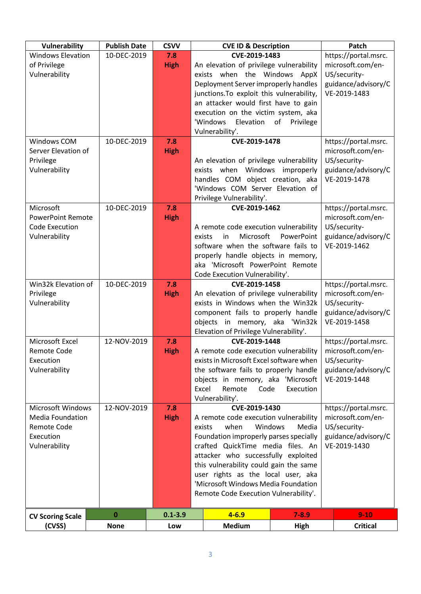| <b>Vulnerability</b>       | <b>Publish Date</b> | <b>CSVV</b> |                                                                           | <b>CVE ID &amp; Description</b>                                                  |                 | Patch                               |
|----------------------------|---------------------|-------------|---------------------------------------------------------------------------|----------------------------------------------------------------------------------|-----------------|-------------------------------------|
| <b>Windows Elevation</b>   | 10-DEC-2019         | 7.8         |                                                                           | CVE-2019-1483                                                                    |                 | https://portal.msrc.                |
| of Privilege               |                     | <b>High</b> |                                                                           | An elevation of privilege vulnerability                                          |                 | microsoft.com/en-                   |
| Vulnerability              |                     |             | exists when the Windows AppX<br>Deployment Server improperly handles      |                                                                                  |                 | US/security-                        |
|                            |                     |             |                                                                           |                                                                                  |                 | guidance/advisory/C                 |
|                            |                     |             |                                                                           | junctions. To exploit this vulnerability,                                        |                 | VE-2019-1483                        |
|                            |                     |             |                                                                           | an attacker would first have to gain<br>execution on the victim system, aka      |                 |                                     |
|                            |                     |             |                                                                           | 'Windows<br>Elevation                                                            | of<br>Privilege |                                     |
|                            |                     |             |                                                                           | Vulnerability'.                                                                  |                 |                                     |
| Windows COM                | 10-DEC-2019         | 7.8         |                                                                           | CVE-2019-1478                                                                    |                 | https://portal.msrc.                |
| Server Elevation of        |                     | <b>High</b> |                                                                           |                                                                                  |                 | microsoft.com/en-                   |
| Privilege                  |                     |             |                                                                           | An elevation of privilege vulnerability                                          |                 | US/security-                        |
| Vulnerability              |                     |             |                                                                           | exists when Windows improperly                                                   |                 | guidance/advisory/C                 |
|                            |                     |             |                                                                           | handles COM object creation, aka                                                 |                 | VE-2019-1478                        |
|                            |                     |             |                                                                           | 'Windows COM Server Elevation of                                                 |                 |                                     |
|                            |                     |             |                                                                           | Privilege Vulnerability'.                                                        |                 |                                     |
| Microsoft                  | 10-DEC-2019         | 7.8         |                                                                           | CVE-2019-1462                                                                    |                 | https://portal.msrc.                |
| <b>PowerPoint Remote</b>   |                     | <b>High</b> |                                                                           |                                                                                  |                 | microsoft.com/en-                   |
| Code Execution             |                     |             |                                                                           | A remote code execution vulnerability                                            |                 | US/security-                        |
| Vulnerability              |                     |             | exists                                                                    | Microsoft<br>in                                                                  | PowerPoint      | guidance/advisory/C                 |
|                            |                     |             |                                                                           | software when the software fails to<br>properly handle objects in memory,        |                 | VE-2019-1462                        |
|                            |                     |             |                                                                           | aka 'Microsoft PowerPoint Remote                                                 |                 |                                     |
|                            |                     |             |                                                                           | Code Execution Vulnerability'.                                                   |                 |                                     |
| Win32k Elevation of        | 10-DEC-2019         | 7.8         |                                                                           | CVE-2019-1458                                                                    |                 | https://portal.msrc.                |
| Privilege                  |                     | <b>High</b> |                                                                           | An elevation of privilege vulnerability                                          |                 | microsoft.com/en-                   |
| Vulnerability              |                     |             |                                                                           | exists in Windows when the Win32k                                                |                 | US/security-                        |
|                            |                     |             |                                                                           | component fails to properly handle                                               |                 | guidance/advisory/C                 |
|                            |                     |             |                                                                           | objects in memory, aka 'Win32k                                                   |                 | VE-2019-1458                        |
|                            |                     |             |                                                                           | Elevation of Privilege Vulnerability'.                                           |                 |                                     |
| Microsoft Excel            | 12-NOV-2019         | 7.8         |                                                                           | CVE-2019-1448                                                                    |                 | https://portal.msrc.                |
| <b>Remote Code</b>         |                     | <b>High</b> |                                                                           | A remote code execution vulnerability                                            |                 | microsoft.com/en-                   |
| Execution<br>Vulnerability |                     |             |                                                                           | exists in Microsoft Excel software when<br>the software fails to properly handle |                 | US/security-<br>guidance/advisory/C |
|                            |                     |             |                                                                           | objects in memory, aka 'Microsoft                                                |                 | VE-2019-1448                        |
|                            |                     |             | Excel                                                                     | Remote<br>Code                                                                   | Execution       |                                     |
|                            |                     |             |                                                                           | Vulnerability'.                                                                  |                 |                                     |
| <b>Microsoft Windows</b>   | 12-NOV-2019         | 7.8         |                                                                           | CVE-2019-1430                                                                    |                 | https://portal.msrc.                |
| <b>Media Foundation</b>    |                     | <b>High</b> |                                                                           | A remote code execution vulnerability                                            |                 | microsoft.com/en-                   |
| <b>Remote Code</b>         |                     |             | exists                                                                    | when<br>Windows                                                                  | Media           | US/security-                        |
| Execution                  |                     |             |                                                                           | Foundation improperly parses specially                                           |                 | guidance/advisory/C                 |
| Vulnerability              |                     |             | crafted QuickTime media files. An                                         |                                                                                  |                 | VE-2019-1430                        |
|                            |                     |             | attacker who successfully exploited                                       |                                                                                  |                 |                                     |
|                            |                     |             | this vulnerability could gain the same                                    |                                                                                  |                 |                                     |
|                            |                     |             | user rights as the local user, aka<br>'Microsoft Windows Media Foundation |                                                                                  |                 |                                     |
|                            |                     |             |                                                                           | Remote Code Execution Vulnerability'.                                            |                 |                                     |
|                            |                     |             |                                                                           |                                                                                  |                 |                                     |
| <b>CV Scoring Scale</b>    | $\bf{0}$            | $0.1 - 3.9$ |                                                                           | $4 - 6.9$                                                                        | $7 - 8.9$       | $9 - 10$                            |
| (CVSS)                     | <b>None</b>         | Low         |                                                                           | <b>Medium</b>                                                                    | High            | <b>Critical</b>                     |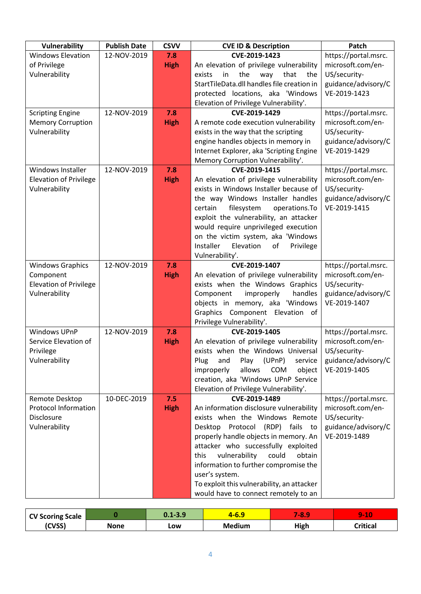| Vulnerability                 | <b>Publish Date</b> | <b>CSVV</b> | <b>CVE ID &amp; Description</b>                                                   | Patch                                     |
|-------------------------------|---------------------|-------------|-----------------------------------------------------------------------------------|-------------------------------------------|
| <b>Windows Elevation</b>      | 12-NOV-2019         | 7.8         | CVE-2019-1423                                                                     | https://portal.msrc.                      |
| of Privilege                  |                     | <b>High</b> | An elevation of privilege vulnerability                                           | microsoft.com/en-                         |
| Vulnerability                 |                     |             | the<br>that<br>exists<br>in<br>way<br>the                                         | US/security-                              |
|                               |                     |             | StartTileData.dll handles file creation in                                        | guidance/advisory/C                       |
|                               |                     |             | protected locations, aka 'Windows                                                 | VE-2019-1423                              |
|                               |                     |             | Elevation of Privilege Vulnerability'.                                            |                                           |
| <b>Scripting Engine</b>       | 12-NOV-2019         | 7.8         | CVE-2019-1429                                                                     | https://portal.msrc.                      |
| <b>Memory Corruption</b>      |                     | <b>High</b> | A remote code execution vulnerability                                             | microsoft.com/en-                         |
| Vulnerability                 |                     |             | exists in the way that the scripting                                              | US/security-                              |
|                               |                     |             | engine handles objects in memory in                                               | guidance/advisory/C                       |
|                               |                     |             | Internet Explorer, aka 'Scripting Engine                                          | VE-2019-1429                              |
|                               |                     |             | Memory Corruption Vulnerability'.                                                 |                                           |
| Windows Installer             | 12-NOV-2019         | 7.8         | CVE-2019-1415                                                                     | https://portal.msrc.                      |
| <b>Elevation of Privilege</b> |                     | <b>High</b> | An elevation of privilege vulnerability                                           | microsoft.com/en-                         |
| Vulnerability                 |                     |             | exists in Windows Installer because of                                            | US/security-                              |
|                               |                     |             | the way Windows Installer handles                                                 | guidance/advisory/C                       |
|                               |                     |             | filesystem<br>certain<br>operations.To                                            | VE-2019-1415                              |
|                               |                     |             | exploit the vulnerability, an attacker                                            |                                           |
|                               |                     |             | would require unprivileged execution                                              |                                           |
|                               |                     |             | on the victim system, aka 'Windows                                                |                                           |
|                               |                     |             | Installer<br>Elevation<br>of<br>Privilege                                         |                                           |
|                               |                     |             | Vulnerability'.                                                                   |                                           |
| <b>Windows Graphics</b>       | 12-NOV-2019         | 7.8         | CVE-2019-1407                                                                     | https://portal.msrc.                      |
| Component                     |                     | <b>High</b> | An elevation of privilege vulnerability                                           | microsoft.com/en-                         |
| <b>Elevation of Privilege</b> |                     |             | exists when the Windows Graphics                                                  | US/security-                              |
| Vulnerability                 |                     |             | Component<br>handles<br>improperly                                                | guidance/advisory/C                       |
|                               |                     |             | objects in memory, aka 'Windows                                                   | VE-2019-1407                              |
|                               |                     |             | Graphics Component Elevation of                                                   |                                           |
| <b>Windows UPnP</b>           |                     |             | Privilege Vulnerability'.                                                         |                                           |
| Service Elevation of          | 12-NOV-2019         | 7.8         | CVE-2019-1405                                                                     | https://portal.msrc.<br>microsoft.com/en- |
|                               |                     | <b>High</b> | An elevation of privilege vulnerability                                           |                                           |
| Privilege                     |                     |             | exists when the Windows Universal                                                 | US/security-                              |
| Vulnerability                 |                     |             | Plug<br>(UPnP)<br>Play<br>service<br>and<br>improperly<br>allows<br>COM<br>object | guidance/advisory/C<br>VE-2019-1405       |
|                               |                     |             | creation, aka 'Windows UPnP Service                                               |                                           |
|                               |                     |             | Elevation of Privilege Vulnerability'.                                            |                                           |
| Remote Desktop                | 10-DEC-2019         | 7.5         | CVE-2019-1489                                                                     | https://portal.msrc.                      |
| <b>Protocol Information</b>   |                     | <b>High</b> | An information disclosure vulnerability                                           | microsoft.com/en-                         |
| Disclosure                    |                     |             | exists when the Windows Remote                                                    | US/security-                              |
| Vulnerability                 |                     |             | Desktop Protocol (RDP) fails to                                                   | guidance/advisory/C                       |
|                               |                     |             | properly handle objects in memory. An                                             | VE-2019-1489                              |
|                               |                     |             | attacker who successfully exploited                                               |                                           |
|                               |                     |             | vulnerability<br>could<br>this<br>obtain                                          |                                           |
|                               |                     |             | information to further compromise the                                             |                                           |
|                               |                     |             | user's system.                                                                    |                                           |
|                               |                     |             | To exploit this vulnerability, an attacker                                        |                                           |
|                               |                     |             | would have to connect remotely to an                                              |                                           |

| <b>CV Scoring Scale</b> |      | $0.1 - 3.9$ | -0.3          | 48.  | $\overline{A}$<br><b>TIL</b><br>. . |
|-------------------------|------|-------------|---------------|------|-------------------------------------|
| (CVSS)                  | None | LOW         | <b>Medium</b> | High | `ritical                            |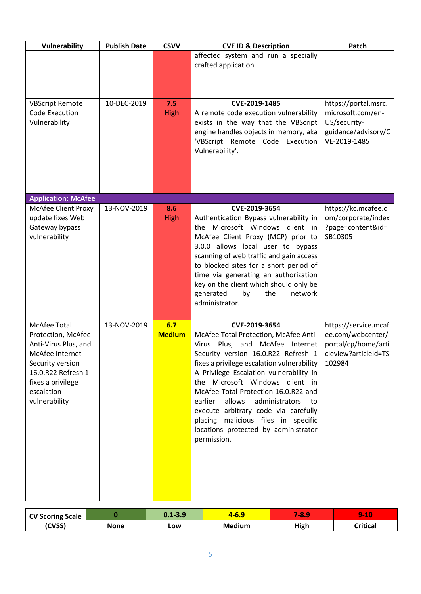| Vulnerability                                                                                                                                                                      | <b>Publish Date</b> | <b>CSVV</b>          | <b>CVE ID &amp; Description</b>                                                                                                                                                                                                                                                                                                                                                                                                                                                       | Patch                                                                                              |
|------------------------------------------------------------------------------------------------------------------------------------------------------------------------------------|---------------------|----------------------|---------------------------------------------------------------------------------------------------------------------------------------------------------------------------------------------------------------------------------------------------------------------------------------------------------------------------------------------------------------------------------------------------------------------------------------------------------------------------------------|----------------------------------------------------------------------------------------------------|
|                                                                                                                                                                                    |                     |                      | affected system and run a specially<br>crafted application.                                                                                                                                                                                                                                                                                                                                                                                                                           |                                                                                                    |
| <b>VBScript Remote</b><br>Code Execution<br>Vulnerability                                                                                                                          | 10-DEC-2019         | 7.5<br><b>High</b>   | CVE-2019-1485<br>A remote code execution vulnerability<br>exists in the way that the VBScript<br>engine handles objects in memory, aka<br>'VBScript Remote Code Execution<br>Vulnerability'.                                                                                                                                                                                                                                                                                          | https://portal.msrc.<br>microsoft.com/en-<br>US/security-<br>guidance/advisory/C<br>VE-2019-1485   |
| <b>Application: McAfee</b>                                                                                                                                                         |                     |                      |                                                                                                                                                                                                                                                                                                                                                                                                                                                                                       |                                                                                                    |
| <b>McAfee Client Proxy</b><br>update fixes Web<br>Gateway bypass<br>vulnerability                                                                                                  | 13-NOV-2019         | 8.6<br><b>High</b>   | CVE-2019-3654<br>Authentication Bypass vulnerability in<br>the Microsoft Windows client in<br>McAfee Client Proxy (MCP) prior to<br>3.0.0 allows local user to bypass<br>scanning of web traffic and gain access<br>to blocked sites for a short period of<br>time via generating an authorization<br>key on the client which should only be<br>generated<br>network<br>the<br>by<br>administrator.                                                                                   | https://kc.mcafee.c<br>om/corporate/index<br>?page=content&id=<br>SB10305                          |
| <b>McAfee Total</b><br>Protection, McAfee<br>Anti-Virus Plus, and<br>McAfee Internet<br>Security version<br>16.0.R22 Refresh 1<br>fixes a privilege<br>escalation<br>vulnerability | 13-NOV-2019         | 6.7<br><b>Medium</b> | CVE-2019-3654<br>McAfee Total Protection, McAfee Anti-<br>Virus Plus, and McAfee Internet<br>Security version 16.0.R22 Refresh 1<br>fixes a privilege escalation vulnerability<br>A Privilege Escalation vulnerability in<br>the Microsoft Windows client in<br>McAfee Total Protection 16.0.R22 and<br>allows administrators<br>earlier<br>to:<br>execute arbitrary code via carefully<br>placing malicious files in specific<br>locations protected by administrator<br>permission. | https://service.mcaf<br>ee.com/webcenter/<br>portal/cp/home/arti<br>cleview?articleId=TS<br>102984 |

| <b>CV Scoring Scale</b> |      | $0.1 - 3.9$ | -0.3          | 48.  | $\sim$<br><b>Second</b><br>. L U |
|-------------------------|------|-------------|---------------|------|----------------------------------|
| (CVSS)                  | None | LOW         | <b>Medium</b> | High | <b>Critical</b>                  |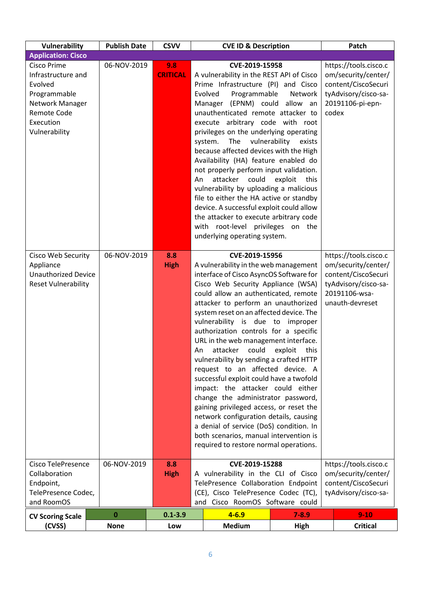| Vulnerability                                                                                                                              | <b>Publish Date</b> | <b>CSVV</b>            |                                                                                                                                                                                                                                                                                                                                                                                                                                                                                                                                                                                                                                                                                                                                                                                                                                                                | <b>CVE ID &amp; Description</b>                                                                                                                                                                                                                                                                                                                                                                                                                                                                                                                                                                                                                                                                           |                                                                                                                          | Patch                                                                                                                           |
|--------------------------------------------------------------------------------------------------------------------------------------------|---------------------|------------------------|----------------------------------------------------------------------------------------------------------------------------------------------------------------------------------------------------------------------------------------------------------------------------------------------------------------------------------------------------------------------------------------------------------------------------------------------------------------------------------------------------------------------------------------------------------------------------------------------------------------------------------------------------------------------------------------------------------------------------------------------------------------------------------------------------------------------------------------------------------------|-----------------------------------------------------------------------------------------------------------------------------------------------------------------------------------------------------------------------------------------------------------------------------------------------------------------------------------------------------------------------------------------------------------------------------------------------------------------------------------------------------------------------------------------------------------------------------------------------------------------------------------------------------------------------------------------------------------|--------------------------------------------------------------------------------------------------------------------------|---------------------------------------------------------------------------------------------------------------------------------|
| <b>Application: Cisco</b>                                                                                                                  |                     |                        |                                                                                                                                                                                                                                                                                                                                                                                                                                                                                                                                                                                                                                                                                                                                                                                                                                                                |                                                                                                                                                                                                                                                                                                                                                                                                                                                                                                                                                                                                                                                                                                           |                                                                                                                          |                                                                                                                                 |
| <b>Cisco Prime</b><br>Infrastructure and<br>Evolved<br>Programmable<br>Network Manager<br><b>Remote Code</b><br>Execution<br>Vulnerability | 06-NOV-2019         | 9.8<br><b>CRITICAL</b> | An                                                                                                                                                                                                                                                                                                                                                                                                                                                                                                                                                                                                                                                                                                                                                                                                                                                             | CVE-2019-15958<br>A vulnerability in the REST API of Cisco<br>Prime Infrastructure (PI) and Cisco<br>Programmable<br>Evolved<br>Manager (EPNM) could<br>unauthenticated remote attacker to<br>execute arbitrary code with root<br>privileges on the underlying operating<br>The<br>vulnerability<br>system.<br>because affected devices with the High<br>Availability (HA) feature enabled do<br>not properly perform input validation.<br>attacker could<br>vulnerability by uploading a malicious<br>file to either the HA active or standby<br>device. A successful exploit could allow<br>the attacker to execute arbitrary code<br>with root-level privileges on the<br>underlying operating system. | https://tools.cisco.c<br>om/security/center/<br>content/CiscoSecuri<br>tyAdvisory/cisco-sa-<br>20191106-pi-epn-<br>codex |                                                                                                                                 |
| Cisco Web Security<br>Appliance<br><b>Unauthorized Device</b><br><b>Reset Vulnerability</b>                                                | 06-NOV-2019         | 8.8<br><b>High</b>     | CVE-2019-15956<br>A vulnerability in the web management<br>interface of Cisco AsyncOS Software for<br>Cisco Web Security Appliance (WSA)<br>could allow an authenticated, remote<br>attacker to perform an unauthorized<br>system reset on an affected device. The<br>vulnerability is due to improper<br>authorization controls for a specific<br>URL in the web management interface.<br>could<br>attacker<br>exploit<br>this<br>An<br>vulnerability by sending a crafted HTTP<br>request to an affected device. A<br>successful exploit could have a twofold<br>impact: the attacker could either<br>change the administrator password,<br>gaining privileged access, or reset the<br>network configuration details, causing<br>a denial of service (DoS) condition. In<br>both scenarios, manual intervention is<br>required to restore normal operations. |                                                                                                                                                                                                                                                                                                                                                                                                                                                                                                                                                                                                                                                                                                           |                                                                                                                          | https://tools.cisco.c<br>om/security/center/<br>content/CiscoSecuri<br>tyAdvisory/cisco-sa-<br>20191106-wsa-<br>unauth-devreset |
| <b>Cisco TelePresence</b><br>Collaboration<br>Endpoint,<br>TelePresence Codec,<br>and RoomOS                                               | 06-NOV-2019         | 8.8<br><b>High</b>     | CVE-2019-15288<br>A vulnerability in the CLI of Cisco<br>TelePresence Collaboration Endpoint<br>(CE), Cisco TelePresence Codec (TC),<br>and Cisco RoomOS Software could                                                                                                                                                                                                                                                                                                                                                                                                                                                                                                                                                                                                                                                                                        |                                                                                                                                                                                                                                                                                                                                                                                                                                                                                                                                                                                                                                                                                                           |                                                                                                                          | https://tools.cisco.c<br>om/security/center/<br>content/CiscoSecuri<br>tyAdvisory/cisco-sa-                                     |
| <b>CV Scoring Scale</b>                                                                                                                    | 0                   | $0.1 - 3.9$            |                                                                                                                                                                                                                                                                                                                                                                                                                                                                                                                                                                                                                                                                                                                                                                                                                                                                | $4 - 6.9$                                                                                                                                                                                                                                                                                                                                                                                                                                                                                                                                                                                                                                                                                                 | $7 - 8.9$                                                                                                                | $9 - 10$                                                                                                                        |
| (CVSS)                                                                                                                                     | <b>None</b>         | Low                    |                                                                                                                                                                                                                                                                                                                                                                                                                                                                                                                                                                                                                                                                                                                                                                                                                                                                | <b>Medium</b>                                                                                                                                                                                                                                                                                                                                                                                                                                                                                                                                                                                                                                                                                             | <b>High</b>                                                                                                              | <b>Critical</b>                                                                                                                 |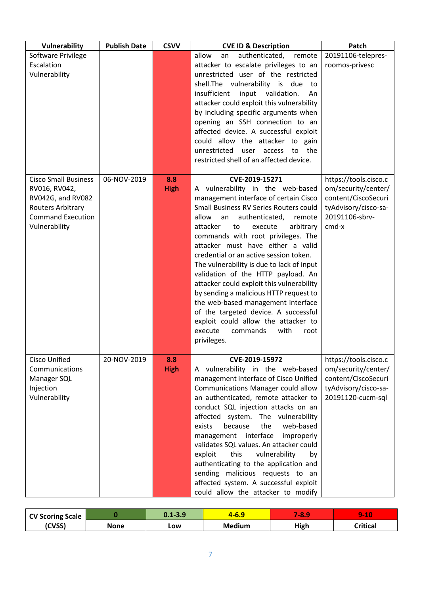| Vulnerability                                                                                                                       | <b>Publish Date</b> | <b>CSVV</b>        | <b>CVE ID &amp; Description</b>                                                                                                                                                                                                                                                                                                                                                                                                                                                                                                                                                                                                                                                                      | Patch                                                                                                                  |
|-------------------------------------------------------------------------------------------------------------------------------------|---------------------|--------------------|------------------------------------------------------------------------------------------------------------------------------------------------------------------------------------------------------------------------------------------------------------------------------------------------------------------------------------------------------------------------------------------------------------------------------------------------------------------------------------------------------------------------------------------------------------------------------------------------------------------------------------------------------------------------------------------------------|------------------------------------------------------------------------------------------------------------------------|
| Software Privilege<br>Escalation<br>Vulnerability                                                                                   |                     |                    | allow<br>authenticated,<br>remote<br>an<br>attacker to escalate privileges to an<br>unrestricted user of the restricted<br>shell. The vulnerability is due to<br>insufficient<br>input validation.<br>An<br>attacker could exploit this vulnerability<br>by including specific arguments when<br>opening an SSH connection to an<br>affected device. A successful exploit<br>could allow the attacker to gain<br>unrestricted<br>the<br>user<br>access<br>to<br>restricted shell of an affected device.                                                                                                                                                                                              | 20191106-telepres-<br>roomos-privesc                                                                                   |
| <b>Cisco Small Business</b><br>RV016, RV042,<br>RV042G, and RV082<br>Routers Arbitrary<br><b>Command Execution</b><br>Vulnerability | 06-NOV-2019         | 8.8<br><b>High</b> | CVE-2019-15271<br>A vulnerability in the web-based<br>management interface of certain Cisco<br>Small Business RV Series Routers could<br>allow<br>authenticated,<br>remote<br>an<br>attacker<br>arbitrary<br>to<br>execute<br>commands with root privileges. The<br>attacker must have either a valid<br>credential or an active session token.<br>The vulnerability is due to lack of input<br>validation of the HTTP payload. An<br>attacker could exploit this vulnerability<br>by sending a malicious HTTP request to<br>the web-based management interface<br>of the targeted device. A successful<br>exploit could allow the attacker to<br>execute<br>commands<br>with<br>root<br>privileges. | https://tools.cisco.c<br>om/security/center/<br>content/CiscoSecuri<br>tyAdvisory/cisco-sa-<br>20191106-sbrv-<br>cmd-x |
| <b>Cisco Unified</b><br>Communications<br>Manager SQL<br>Injection<br>Vulnerability                                                 | 20-NOV-2019         | 8.8<br><b>High</b> | CVE-2019-15972<br>A vulnerability in the web-based<br>management interface of Cisco Unified<br>Communications Manager could allow<br>an authenticated, remote attacker to<br>conduct SQL injection attacks on an<br>affected system. The vulnerability<br>web-based<br>because<br>the<br>exists<br>management interface<br>improperly<br>validates SQL values. An attacker could<br>exploit<br>this<br>vulnerability<br>by<br>authenticating to the application and<br>sending malicious requests to an<br>affected system. A successful exploit<br>could allow the attacker to modify                                                                                                               | https://tools.cisco.c<br>om/security/center/<br>content/CiscoSecuri<br>tyAdvisory/cisco-sa-<br>20191120-cucm-sql       |

| <b>CV Scoring Scale</b> |      | $0.1 - 3.9$ | 1-0.J         | <b>7-81</b> | <b>A</b><br>wa katika T<br>. . |
|-------------------------|------|-------------|---------------|-------------|--------------------------------|
| (CVSS)                  | None | Low         | <b>Medium</b> | High        | Critical                       |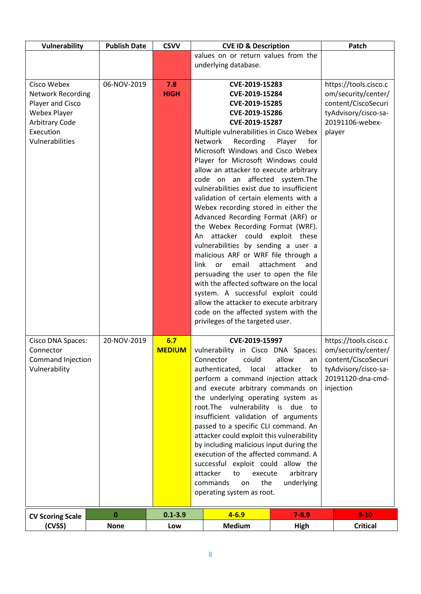| Vulnerability                                                                                                                        | <b>Publish Date</b> | <b>CSVV</b>          | <b>CVE ID &amp; Description</b>                                                                                                                                                                                                                                                                                                                                                                                                                                                                                                                                                                                                                                                                                                                            |                                                                                                                          | Patch                                                                                                                         |
|--------------------------------------------------------------------------------------------------------------------------------------|---------------------|----------------------|------------------------------------------------------------------------------------------------------------------------------------------------------------------------------------------------------------------------------------------------------------------------------------------------------------------------------------------------------------------------------------------------------------------------------------------------------------------------------------------------------------------------------------------------------------------------------------------------------------------------------------------------------------------------------------------------------------------------------------------------------------|--------------------------------------------------------------------------------------------------------------------------|-------------------------------------------------------------------------------------------------------------------------------|
|                                                                                                                                      |                     |                      | values on or return values from the                                                                                                                                                                                                                                                                                                                                                                                                                                                                                                                                                                                                                                                                                                                        |                                                                                                                          |                                                                                                                               |
|                                                                                                                                      |                     |                      | underlying database.                                                                                                                                                                                                                                                                                                                                                                                                                                                                                                                                                                                                                                                                                                                                       |                                                                                                                          |                                                                                                                               |
| Cisco Webex<br><b>Network Recording</b><br>Player and Cisco<br><b>Webex Player</b><br>Arbitrary Code<br>Execution<br>Vulnerabilities | 06-NOV-2019         | 7.8<br><b>HIGH</b>   | CVE-2019-15283<br>CVE-2019-15284<br>CVE-2019-15285<br>CVE-2019-15286<br>CVE-2019-15287<br>Multiple vulnerabilities in Cisco Webex<br>Network<br>Recording<br>Microsoft Windows and Cisco Webex<br>Player for Microsoft Windows could<br>allow an attacker to execute arbitrary<br>code on an affected<br>vulnerabilities exist due to insufficient<br>validation of certain elements with a<br>Webex recording stored in either the<br>Advanced Recording Format (ARF) or<br>the Webex Recording Format (WRF).<br>attacker could exploit these<br>An<br>vulnerabilities by sending a user a<br>malicious ARF or WRF file through a<br>attachment<br>link<br>or<br>email<br>persuading the user to open the file<br>with the affected software on the local | https://tools.cisco.c<br>om/security/center/<br>content/CiscoSecuri<br>tyAdvisory/cisco-sa-<br>20191106-webex-<br>player |                                                                                                                               |
|                                                                                                                                      |                     |                      | system. A successful exploit could<br>allow the attacker to execute arbitrary<br>code on the affected system with the                                                                                                                                                                                                                                                                                                                                                                                                                                                                                                                                                                                                                                      |                                                                                                                          |                                                                                                                               |
|                                                                                                                                      |                     |                      |                                                                                                                                                                                                                                                                                                                                                                                                                                                                                                                                                                                                                                                                                                                                                            |                                                                                                                          |                                                                                                                               |
| Cisco DNA Spaces:<br>Connector<br>Command Injection<br>Vulnerability                                                                 | 20-NOV-2019         | 6.7<br><b>MEDIUM</b> | privileges of the targeted user.<br>CVE-2019-15997<br>vulnerability in Cisco DNA Spaces:<br>could<br>allow<br>Connector<br>an<br>authenticated,<br>local<br>attacker<br>to<br>perform a command injection attack<br>and execute arbitrary commands on<br>the underlying operating system as<br>root.The vulnerability is due to<br>insufficient validation of arguments<br>passed to a specific CLI command. An<br>attacker could exploit this vulnerability<br>by including malicious input during the<br>execution of the affected command. A<br>successful exploit could allow the<br>attacker<br>execute<br>arbitrary<br>to<br>the<br>underlying<br>commands<br>on<br>operating system as root.                                                        |                                                                                                                          | https://tools.cisco.c<br>om/security/center/<br>content/CiscoSecuri<br>tyAdvisory/cisco-sa-<br>20191120-dna-cmd-<br>injection |
| <b>CV Scoring Scale</b>                                                                                                              | $\bf{0}$            | $0.1 - 3.9$          | $4 - 6.9$                                                                                                                                                                                                                                                                                                                                                                                                                                                                                                                                                                                                                                                                                                                                                  | $7 - 8.9$                                                                                                                | $9 - 10$                                                                                                                      |
| (CVSS)                                                                                                                               | <b>None</b>         | Low                  | <b>Medium</b>                                                                                                                                                                                                                                                                                                                                                                                                                                                                                                                                                                                                                                                                                                                                              | High                                                                                                                     | <b>Critical</b>                                                                                                               |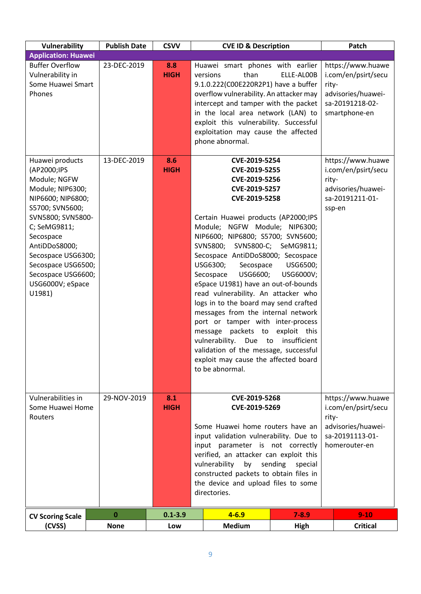| Vulnerability                                                                                                                                                                                                                                                                 | <b>Publish Date</b> | <b>CSVV</b>        | <b>CVE ID &amp; Description</b>                                                                                                                                                                                                                                                                                                                                                                                                                                                                                                                                                                                                                                             |                                                          | Patch                                                                                                       |
|-------------------------------------------------------------------------------------------------------------------------------------------------------------------------------------------------------------------------------------------------------------------------------|---------------------|--------------------|-----------------------------------------------------------------------------------------------------------------------------------------------------------------------------------------------------------------------------------------------------------------------------------------------------------------------------------------------------------------------------------------------------------------------------------------------------------------------------------------------------------------------------------------------------------------------------------------------------------------------------------------------------------------------------|----------------------------------------------------------|-------------------------------------------------------------------------------------------------------------|
| <b>Application: Huawei</b>                                                                                                                                                                                                                                                    |                     |                    |                                                                                                                                                                                                                                                                                                                                                                                                                                                                                                                                                                                                                                                                             |                                                          |                                                                                                             |
| <b>Buffer Overflow</b><br>Vulnerability in<br>Some Huawei Smart<br>Phones                                                                                                                                                                                                     | 23-DEC-2019         | 8.8<br><b>HIGH</b> | Huawei smart phones with earlier<br>than<br>versions<br>9.1.0.222(C00E220R2P1) have a buffer<br>overflow vulnerability. An attacker may<br>intercept and tamper with the packet<br>in the local area network (LAN) to<br>exploit this vulnerability. Successful<br>exploitation may cause the affected<br>phone abnormal.                                                                                                                                                                                                                                                                                                                                                   | ELLE-ALOOB                                               | https://www.huawe<br>i.com/en/psirt/secu<br>rity-<br>advisories/huawei-<br>sa-20191218-02-<br>smartphone-en |
| Huawei products<br>(AP2000;IPS<br>Module; NGFW<br>Module; NIP6300;<br>NIP6600; NIP6800;<br>S5700; SVN5600;<br>SVN5800; SVN5800-<br>C; SeMG9811;<br>Secospace<br>AntiDDoS8000;<br>Secospace USG6300;<br>Secospace USG6500;<br>Secospace USG6600;<br>USG6000V; eSpace<br>U1981) | 13-DEC-2019         | 8.6<br><b>HIGH</b> | CVE-2019-5254<br>CVE-2019-5255<br>CVE-2019-5256<br>CVE-2019-5257<br>CVE-2019-5258<br>Certain Huawei products (AP2000;IPS<br>Module; NGFW Module; NIP6300;<br>NIP6600; NIP6800; S5700; SVN5600;<br>SVN5800; SVN5800-C; SeMG9811;<br>Secospace AntiDDoS8000; Secospace<br>USG6300;<br>Secospace<br>USG6600;<br>Secospace<br>eSpace U1981) have an out-of-bounds<br>read vulnerability. An attacker who<br>logs in to the board may send crafted<br>messages from the internal network<br>port or tamper with inter-process<br>message packets to<br>vulnerability.<br>Due<br>validation of the message, successful<br>exploit may cause the affected board<br>to be abnormal. | USG6500;<br>USG6000V;<br>exploit this<br>to insufficient | https://www.huawe<br>i.com/en/psirt/secu<br>rity-<br>advisories/huawei-<br>sa-20191211-01-<br>ssp-en        |
| Vulnerabilities in<br>Some Huawei Home<br>Routers                                                                                                                                                                                                                             | 29-NOV-2019         | 8.1<br><b>HIGH</b> | CVE-2019-5268<br>CVE-2019-5269<br>Some Huawei home routers have an<br>input validation vulnerability. Due to<br>input parameter is not correctly<br>verified, an attacker can exploit this<br>vulnerability<br>by sending special<br>constructed packets to obtain files in<br>the device and upload files to some<br>directories.                                                                                                                                                                                                                                                                                                                                          |                                                          | https://www.huawe<br>i.com/en/psirt/secu<br>rity-<br>advisories/huawei-<br>sa-20191113-01-<br>homerouter-en |
| <b>CV Scoring Scale</b>                                                                                                                                                                                                                                                       | $\bf{0}$            | $0.1 - 3.9$        | $4 - 6.9$                                                                                                                                                                                                                                                                                                                                                                                                                                                                                                                                                                                                                                                                   | $7 - 8.9$                                                | $9 - 10$                                                                                                    |
| (CVSS)                                                                                                                                                                                                                                                                        | <b>None</b>         | Low                | <b>Medium</b>                                                                                                                                                                                                                                                                                                                                                                                                                                                                                                                                                                                                                                                               | <b>High</b>                                              | <b>Critical</b>                                                                                             |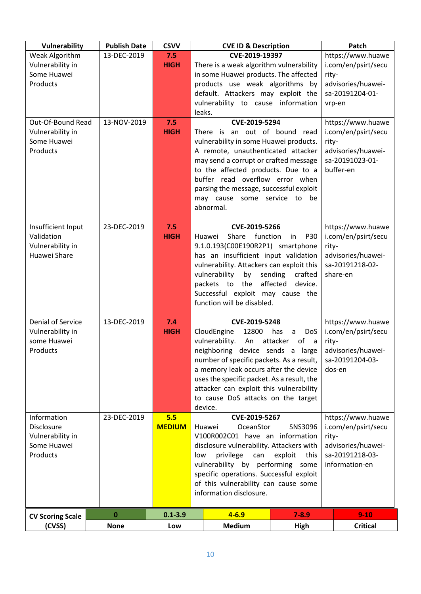| Vulnerability                         | <b>Publish Date</b> | <b>CSVV</b>          | <b>CVE ID &amp; Description</b>                                                   |                                                     | Patch                                    |
|---------------------------------------|---------------------|----------------------|-----------------------------------------------------------------------------------|-----------------------------------------------------|------------------------------------------|
| Weak Algorithm<br>Vulnerability in    | 13-DEC-2019         | 7.5<br><b>HIGH</b>   | CVE-2019-19397<br>There is a weak algorithm vulnerability                         |                                                     | https://www.huawe<br>i.com/en/psirt/secu |
| Some Huawei                           |                     |                      | in some Huawei products. The affected                                             |                                                     | rity-                                    |
| Products                              |                     |                      | products use weak algorithms by                                                   | advisories/huawei-<br>sa-20191204-01-               |                                          |
|                                       |                     |                      | default. Attackers may exploit the<br>vulnerability to cause information          |                                                     | vrp-en                                   |
|                                       |                     |                      | leaks.                                                                            |                                                     |                                          |
| Out-Of-Bound Read<br>Vulnerability in | 13-NOV-2019         | 7.5<br><b>HIGH</b>   | CVE-2019-5294<br>There is an out of bound read                                    |                                                     | https://www.huawe<br>i.com/en/psirt/secu |
| Some Huawei                           |                     |                      | vulnerability in some Huawei products.                                            |                                                     | rity-                                    |
| Products                              |                     |                      | A remote, unauthenticated attacker<br>may send a corrupt or crafted message       |                                                     | advisories/huawei-<br>sa-20191023-01-    |
|                                       |                     |                      | to the affected products. Due to a                                                |                                                     | buffer-en                                |
|                                       |                     |                      | buffer read overflow error when<br>parsing the message, successful exploit        |                                                     |                                          |
|                                       |                     |                      | may cause some service to be                                                      |                                                     |                                          |
|                                       |                     |                      | abnormal.                                                                         |                                                     |                                          |
| Insufficient Input                    | 23-DEC-2019         | 7.5                  | CVE-2019-5266                                                                     |                                                     | https://www.huawe                        |
| Validation<br>Vulnerability in        |                     | <b>HIGH</b>          | Share<br>function<br>Huawei<br>9.1.0.193(C00E190R2P1) smartphone                  | <b>P30</b><br>in                                    | i.com/en/psirt/secu<br>rity-             |
| Huawei Share                          |                     |                      | has an insufficient input validation                                              |                                                     | advisories/huawei-                       |
|                                       |                     |                      | vulnerability. Attackers can exploit this<br>by<br>vulnerability                  | sending<br>crafted                                  | sa-20191218-02-<br>share-en              |
|                                       |                     |                      | packets to the                                                                    | affected<br>device.                                 |                                          |
|                                       |                     |                      | Successful exploit may cause the<br>function will be disabled.                    |                                                     |                                          |
|                                       |                     |                      |                                                                                   |                                                     |                                          |
| <b>Denial of Service</b>              | 13-DEC-2019         | 7.4                  | CVE-2019-5248                                                                     |                                                     | https://www.huawe                        |
| Vulnerability in<br>some Huawei       |                     | <b>HIGH</b>          | CloudEngine<br>12800<br>vulnerability.<br>An                                      | has<br>DoS<br>a<br>of<br>attacker<br>$\overline{a}$ | i.com/en/psirt/secu<br>rity-             |
| Products                              |                     |                      | neighboring device sends a large                                                  |                                                     | advisories/huawei-                       |
|                                       |                     |                      | number of specific packets. As a result,<br>a memory leak occurs after the device |                                                     | sa-20191204-03-<br>dos-en                |
|                                       |                     |                      | uses the specific packet. As a result, the                                        |                                                     |                                          |
|                                       |                     |                      | attacker can exploit this vulnerability<br>to cause DoS attacks on the target     |                                                     |                                          |
|                                       |                     |                      | device.                                                                           |                                                     |                                          |
| Information<br>Disclosure             | 23-DEC-2019         | 5.5<br><b>MEDIUM</b> | CVE-2019-5267<br>OceanStor<br>Huawei                                              | SNS3096                                             | https://www.huawe<br>i.com/en/psirt/secu |
| Vulnerability in                      |                     |                      | V100R002C01 have an information                                                   | rity-                                               |                                          |
| Some Huawei<br>Products               |                     |                      | disclosure vulnerability. Attackers with<br>privilege<br>can<br>low               | advisories/huawei-<br>sa-20191218-03-               |                                          |
|                                       |                     |                      | vulnerability by performing some                                                  | information-en                                      |                                          |
|                                       |                     |                      | specific operations. Successful exploit<br>of this vulnerability can cause some   |                                                     |                                          |
|                                       |                     |                      | information disclosure.                                                           |                                                     |                                          |
|                                       | $\bf{0}$            | $0.1 - 3.9$          | $4 - 6.9$                                                                         | $7 - 8.9$                                           | $9 - 10$                                 |
| <b>CV Scoring Scale</b><br>(CVSS)     | <b>None</b>         | Low                  | <b>Medium</b>                                                                     | <b>High</b>                                         | <b>Critical</b>                          |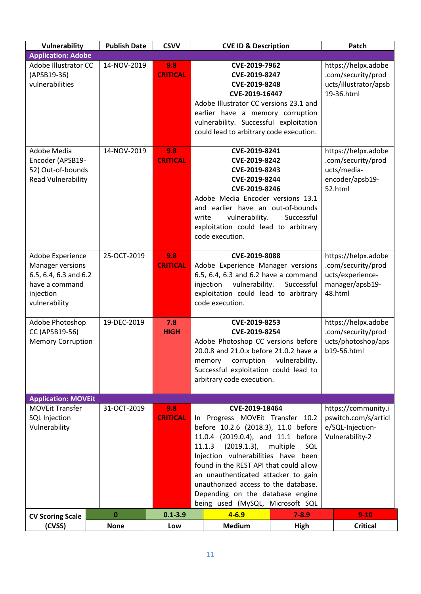| Vulnerability                                                                                                        | <b>Publish Date</b> | <b>CSVV</b>            | <b>CVE ID &amp; Description</b>                                                                                                                                                                                                                                                                                                                                                                                                                                                                                    |                | Patch                                                                                       |
|----------------------------------------------------------------------------------------------------------------------|---------------------|------------------------|--------------------------------------------------------------------------------------------------------------------------------------------------------------------------------------------------------------------------------------------------------------------------------------------------------------------------------------------------------------------------------------------------------------------------------------------------------------------------------------------------------------------|----------------|---------------------------------------------------------------------------------------------|
| <b>Application: Adobe</b>                                                                                            |                     |                        |                                                                                                                                                                                                                                                                                                                                                                                                                                                                                                                    |                |                                                                                             |
| Adobe Illustrator CC<br>(APSB19-36)<br>vulnerabilities                                                               | 14-NOV-2019         | 9.8<br><b>CRITICAL</b> | CVE-2019-7962<br>CVE-2019-8247<br>CVE-2019-8248<br>CVE-2019-16447<br>Adobe Illustrator CC versions 23.1 and<br>earlier have a memory corruption<br>vulnerability. Successful exploitation<br>could lead to arbitrary code execution.                                                                                                                                                                                                                                                                               |                | https://helpx.adobe<br>.com/security/prod<br>ucts/illustrator/apsb<br>19-36.html            |
| Adobe Media<br>Encoder (APSB19-<br>52) Out-of-bounds<br><b>Read Vulnerability</b>                                    | 14-NOV-2019         | 9.8<br><b>CRITICAL</b> | CVE-2019-8241<br>CVE-2019-8242<br>CVE-2019-8243<br>CVE-2019-8244<br>CVE-2019-8246<br>Adobe Media Encoder versions 13.1<br>and earlier have an out-of-bounds<br>vulnerability.<br>write<br>exploitation could lead to arbitrary<br>code execution.                                                                                                                                                                                                                                                                  | Successful     | https://helpx.adobe<br>.com/security/prod<br>ucts/media-<br>encoder/apsb19-<br>52.html      |
| Adobe Experience<br><b>Manager versions</b><br>6.5, 6.4, 6.3 and 6.2<br>have a command<br>injection<br>vulnerability | 25-OCT-2019         | 9.8<br><b>CRITICAL</b> | CVE-2019-8088<br>Adobe Experience Manager versions<br>6.5, 6.4, 6.3 and 6.2 have a command<br>vulnerability.<br>injection<br>exploitation could lead to arbitrary<br>code execution.                                                                                                                                                                                                                                                                                                                               | Successful     | https://helpx.adobe<br>.com/security/prod<br>ucts/experience-<br>manager/apsb19-<br>48.html |
| Adobe Photoshop<br>CC (APSB19-56)<br><b>Memory Corruption</b>                                                        | 19-DEC-2019         | 7.8<br><b>HIGH</b>     | CVE-2019-8253<br>CVE-2019-8254<br>Adobe Photoshop CC versions before<br>20.0.8 and 21.0.x before 21.0.2 have a<br>corruption<br>memory<br>Successful exploitation could lead to<br>arbitrary code execution.                                                                                                                                                                                                                                                                                                       | vulnerability. | https://helpx.adobe<br>.com/security/prod<br>ucts/photoshop/aps<br>b19-56.html              |
| <b>Application: MOVEit</b>                                                                                           |                     |                        |                                                                                                                                                                                                                                                                                                                                                                                                                                                                                                                    |                |                                                                                             |
| <b>MOVEit Transfer</b><br><b>SQL Injection</b><br>Vulnerability                                                      | 31-OCT-2019         | 9.8<br><b>CRITICAL</b> | https://community.i<br>CVE-2019-18464<br>pswitch.com/s/articl<br>Progress MOVEit Transfer 10.2<br>In In<br>before 10.2.6 (2018.3), 11.0 before<br>e/SQL-Injection-<br>11.0.4 (2019.0.4), and 11.1 before<br>Vulnerability-2<br>$(2019.1.3)$ ,<br>multiple<br>11.1.3<br>SQL<br>Injection vulnerabilities have been<br>found in the REST API that could allow<br>an unauthenticated attacker to gain<br>unauthorized access to the database.<br>Depending on the database engine<br>being used (MySQL, Microsoft SQL |                |                                                                                             |
| <b>CV Scoring Scale</b>                                                                                              | $\bf{0}$            | $0.1 - 3.9$            | $4 - 6.9$                                                                                                                                                                                                                                                                                                                                                                                                                                                                                                          | $7 - 8.9$      | $9-10$                                                                                      |
| (CVSS)                                                                                                               | <b>None</b>         | Low                    | <b>Medium</b>                                                                                                                                                                                                                                                                                                                                                                                                                                                                                                      | <b>High</b>    | <b>Critical</b>                                                                             |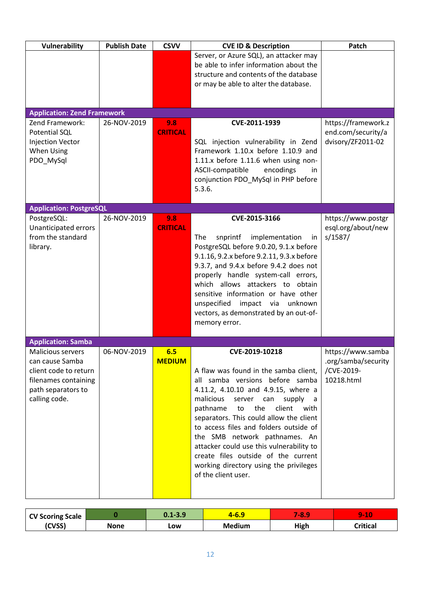| Vulnerability                                         | <b>Publish Date</b> | <b>CSVV</b>     | <b>CVE ID &amp; Description</b>                                                    | Patch                             |
|-------------------------------------------------------|---------------------|-----------------|------------------------------------------------------------------------------------|-----------------------------------|
|                                                       |                     |                 | Server, or Azure SQL), an attacker may                                             |                                   |
|                                                       |                     |                 | be able to infer information about the<br>structure and contents of the database   |                                   |
|                                                       |                     |                 | or may be able to alter the database.                                              |                                   |
|                                                       |                     |                 |                                                                                    |                                   |
|                                                       |                     |                 |                                                                                    |                                   |
| <b>Application: Zend Framework</b><br>Zend Framework: | 26-NOV-2019         | 9.8             | CVE-2011-1939                                                                      | https://framework.z               |
| <b>Potential SQL</b>                                  |                     | <b>CRITICAL</b> |                                                                                    | end.com/security/a                |
| <b>Injection Vector</b>                               |                     |                 | SQL injection vulnerability in Zend                                                | dvisory/ZF2011-02                 |
| <b>When Using</b>                                     |                     |                 | Framework 1.10.x before 1.10.9 and                                                 |                                   |
| PDO_MySql                                             |                     |                 | $1.11.x$ before $1.11.6$ when using non-                                           |                                   |
|                                                       |                     |                 | ASCII-compatible<br>encodings<br>in.<br>conjunction PDO MySql in PHP before        |                                   |
|                                                       |                     |                 | 5.3.6.                                                                             |                                   |
|                                                       |                     |                 |                                                                                    |                                   |
| <b>Application: PostgreSQL</b><br>PostgreSQL:         | 26-NOV-2019         | 9.8             | CVE-2015-3166                                                                      | https://www.postgr                |
| Unanticipated errors                                  |                     | <b>CRITICAL</b> |                                                                                    | esql.org/about/new                |
| from the standard                                     |                     |                 | The<br>implementation<br>snprintf<br><i>in</i>                                     | s/1587/                           |
| library.                                              |                     |                 | PostgreSQL before 9.0.20, 9.1.x before                                             |                                   |
|                                                       |                     |                 | 9.1.16, 9.2.x before 9.2.11, 9.3.x before                                          |                                   |
|                                                       |                     |                 | 9.3.7, and 9.4.x before 9.4.2 does not<br>properly handle system-call errors,      |                                   |
|                                                       |                     |                 | which allows attackers to obtain                                                   |                                   |
|                                                       |                     |                 | sensitive information or have other                                                |                                   |
|                                                       |                     |                 | unspecified impact via unknown                                                     |                                   |
|                                                       |                     |                 | vectors, as demonstrated by an out-of-<br>memory error.                            |                                   |
|                                                       |                     |                 |                                                                                    |                                   |
| <b>Application: Samba</b>                             |                     |                 |                                                                                    |                                   |
| <b>Malicious servers</b>                              | 06-NOV-2019         | 6.5             | CVE-2019-10218                                                                     | https://www.samba                 |
| can cause Samba<br>client code to return              |                     | <b>MEDIUM</b>   | A flaw was found in the samba client,                                              | .org/samba/security<br>/CVE-2019- |
| filenames containing                                  |                     |                 | all samba versions before samba                                                    | 10218.html                        |
| path separators to                                    |                     |                 | 4.11.2, 4.10.10 and 4.9.15, where a                                                |                                   |
| calling code.                                         |                     |                 | malicious<br>server can<br>supply                                                  |                                   |
|                                                       |                     |                 | pathname<br>the<br>client<br>to<br>with<br>separators. This could allow the client |                                   |
|                                                       |                     |                 | to access files and folders outside of                                             |                                   |
|                                                       |                     |                 | the SMB network pathnames. An                                                      |                                   |
|                                                       |                     |                 | attacker could use this vulnerability to                                           |                                   |
|                                                       |                     |                 | create files outside of the current                                                |                                   |
|                                                       |                     |                 | working directory using the privileges<br>of the client user.                      |                                   |
|                                                       |                     |                 |                                                                                    |                                   |
|                                                       |                     |                 |                                                                                    |                                   |

| <b>CV Scoring Scale</b> |      | $0.1 - 3.9$ | 4-0.J         | $-8.9$ | 10<br>5-        |
|-------------------------|------|-------------|---------------|--------|-----------------|
| (CVSS)                  | None | Low         | <b>Medium</b> | High   | <b>Critical</b> |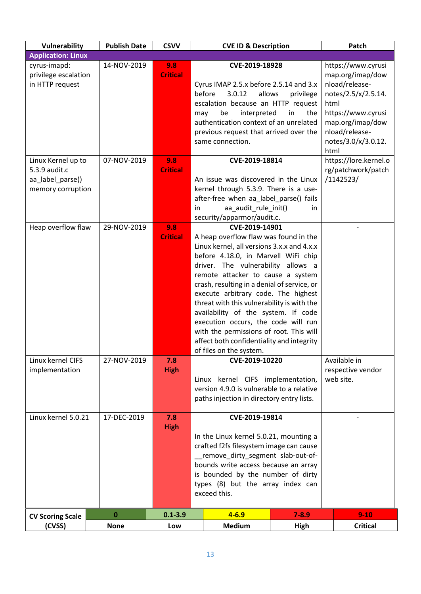| Vulnerability                                                                | <b>Publish Date</b> | <b>CSVV</b>            | <b>CVE ID &amp; Description</b>                                                                                                                                                                                                                                                                                                                                                                                                                                                                                                                              |                        | Patch                                                                                                                                                                              |
|------------------------------------------------------------------------------|---------------------|------------------------|--------------------------------------------------------------------------------------------------------------------------------------------------------------------------------------------------------------------------------------------------------------------------------------------------------------------------------------------------------------------------------------------------------------------------------------------------------------------------------------------------------------------------------------------------------------|------------------------|------------------------------------------------------------------------------------------------------------------------------------------------------------------------------------|
| <b>Application: Linux</b>                                                    |                     |                        |                                                                                                                                                                                                                                                                                                                                                                                                                                                                                                                                                              |                        |                                                                                                                                                                                    |
| cyrus-imapd:<br>privilege escalation<br>in HTTP request                      | 14-NOV-2019         | 9.8<br><b>Critical</b> | CVE-2019-18928<br>Cyrus IMAP 2.5.x before 2.5.14 and 3.x<br>before<br>3.0.12<br>allows<br>escalation because an HTTP request<br>be<br>interpreted<br>may<br>authentication context of an unrelated<br>previous request that arrived over the<br>same connection.                                                                                                                                                                                                                                                                                             | privilege<br>in<br>the | https://www.cyrusi<br>map.org/imap/dow<br>nload/release-<br>notes/2.5/x/2.5.14.<br>html<br>https://www.cyrusi<br>map.org/imap/dow<br>nload/release-<br>notes/3.0/x/3.0.12.<br>html |
| Linux Kernel up to<br>5.3.9 audit.c<br>aa_label_parse()<br>memory corruption | 07-NOV-2019         | 9.8<br><b>Critical</b> | CVE-2019-18814<br>An issue was discovered in the Linux<br>kernel through 5.3.9. There is a use-<br>after-free when aa_label_parse() fails<br>aa audit rule init()<br>in<br>security/apparmor/audit.c.                                                                                                                                                                                                                                                                                                                                                        | in.                    | https://lore.kernel.o<br>rg/patchwork/patch<br>/1142523/                                                                                                                           |
| Heap overflow flaw                                                           | 29-NOV-2019         | 9.8<br><b>Critical</b> | CVE-2019-14901<br>A heap overflow flaw was found in the<br>Linux kernel, all versions 3.x.x and 4.x.x<br>before 4.18.0, in Marvell WiFi chip<br>driver. The vulnerability allows a<br>remote attacker to cause a system<br>crash, resulting in a denial of service, or<br>execute arbitrary code. The highest<br>threat with this vulnerability is with the<br>availability of the system. If code<br>execution occurs, the code will run<br>with the permissions of root. This will<br>affect both confidentiality and integrity<br>of files on the system. |                        |                                                                                                                                                                                    |
| Linux kernel CIFS<br>implementation                                          | 27-NOV-2019         | 7.8<br><b>High</b>     | CVE-2019-10220<br>Linux kernel CIFS implementation,<br>version 4.9.0 is vulnerable to a relative<br>paths injection in directory entry lists.                                                                                                                                                                                                                                                                                                                                                                                                                |                        | Available in<br>respective vendor<br>web site.                                                                                                                                     |
| Linux kernel 5.0.21                                                          | 17-DEC-2019         | 7.8<br><b>High</b>     | CVE-2019-19814<br>In the Linux kernel 5.0.21, mounting a<br>crafted f2fs filesystem image can cause<br>remove_dirty_segment_slab-out-of-<br>bounds write access because an array<br>is bounded by the number of dirty<br>types (8) but the array index can<br>exceed this.                                                                                                                                                                                                                                                                                   |                        |                                                                                                                                                                                    |
| <b>CV Scoring Scale</b>                                                      | $\bf{0}$            | $0.1 - 3.9$            | $4 - 6.9$                                                                                                                                                                                                                                                                                                                                                                                                                                                                                                                                                    | $7 - 8.9$              | $9-10$                                                                                                                                                                             |
| (CVSS)                                                                       | <b>None</b>         | Low                    | <b>Medium</b>                                                                                                                                                                                                                                                                                                                                                                                                                                                                                                                                                | High                   | <b>Critical</b>                                                                                                                                                                    |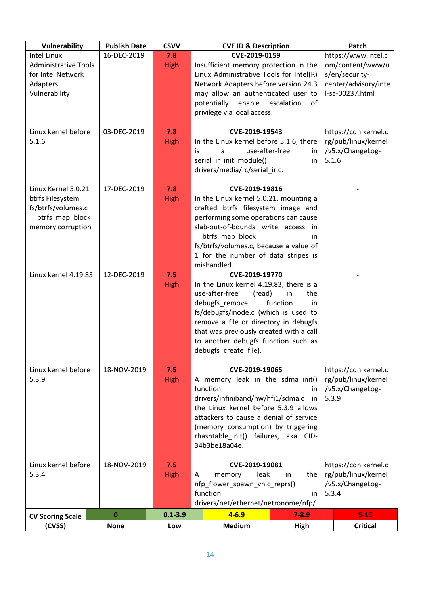| Vulnerability                                                                                         | <b>Publish Date</b> | <b>CSVV</b>        |                                                                                                                                                                                                                                                                                                   | <b>CVE ID &amp; Description</b>                                                                                                                                                                                                                                                                     |                                                                                                      | Patch                                                                    |  |
|-------------------------------------------------------------------------------------------------------|---------------------|--------------------|---------------------------------------------------------------------------------------------------------------------------------------------------------------------------------------------------------------------------------------------------------------------------------------------------|-----------------------------------------------------------------------------------------------------------------------------------------------------------------------------------------------------------------------------------------------------------------------------------------------------|------------------------------------------------------------------------------------------------------|--------------------------------------------------------------------------|--|
| <b>Intel Linux</b><br><b>Administrative Tools</b><br>for Intel Network<br>Adapters<br>Vulnerability   | 16-DEC-2019         | 7.8<br><b>High</b> |                                                                                                                                                                                                                                                                                                   | CVE-2019-0159<br>Insufficient memory protection in the<br>Linux Administrative Tools for Intel(R)<br>Network Adapters before version 24.3<br>may allow an authenticated user to<br>potentially<br>enable escalation<br>privilege via local access.                                                  | https://www.intel.c<br>om/content/www/u<br>s/en/security-<br>center/advisory/inte<br>I-sa-00237.html |                                                                          |  |
| Linux kernel before<br>5.1.6                                                                          | 03-DEC-2019         | 7.8<br><b>High</b> | is                                                                                                                                                                                                                                                                                                | CVE-2019-19543<br>In the Linux kernel before 5.1.6, there<br>use-after-free<br>a<br>serial_ir_init_module()<br>drivers/media/rc/serial_ir.c.                                                                                                                                                        | in<br>in.                                                                                            | https://cdn.kernel.o<br>rg/pub/linux/kernel<br>/v5.x/ChangeLog-<br>5.1.6 |  |
| Linux Kernel 5.0.21<br>btrfs Filesystem<br>fs/btrfs/volumes.c<br>btrfs_map_block<br>memory corruption | 17-DEC-2019         | 7.8<br><b>High</b> |                                                                                                                                                                                                                                                                                                   | CVE-2019-19816<br>In the Linux kernel 5.0.21, mounting a<br>crafted btrfs filesystem image and<br>performing some operations can cause<br>slab-out-of-bounds write access in<br>btrfs_map_block<br>fs/btrfs/volumes.c, because a value of<br>1 for the number of data stripes is<br>mishandled.     | in.                                                                                                  |                                                                          |  |
| Linux kernel 4.19.83                                                                                  | 12-DEC-2019         | 7.5<br><b>High</b> |                                                                                                                                                                                                                                                                                                   | CVE-2019-19770<br>In the Linux kernel 4.19.83, there is a<br>use-after-free<br>(read)<br>debugfs remove<br>fs/debugfs/inode.c (which is used to<br>remove a file or directory in debugfs<br>that was previously created with a call<br>to another debugfs function such as<br>debugfs_create_file). | the<br>in<br>function<br>in.                                                                         |                                                                          |  |
| Linux kernel before<br>5.3.9                                                                          | 18-NOV-2019         | 7.5<br><b>High</b> | CVE-2019-19065<br>A memory leak in the sdma init()<br>function<br>in.<br>drivers/infiniband/hw/hfi1/sdma.c<br>in<br>the Linux kernel before 5.3.9 allows<br>attackers to cause a denial of service<br>(memory consumption) by triggering<br>rhashtable_init() failures, aka CID-<br>34b3be18a04e. |                                                                                                                                                                                                                                                                                                     | https://cdn.kernel.o<br>rg/pub/linux/kernel<br>/v5.x/ChangeLog-<br>5.3.9                             |                                                                          |  |
| Linux kernel before<br>5.3.4                                                                          | 18-NOV-2019         | 7.5<br><b>High</b> | A                                                                                                                                                                                                                                                                                                 | CVE-2019-19081<br>leak<br>memory<br>nfp_flower_spawn_vnic_reprs()<br>function<br>drivers/net/ethernet/netronome/nfp/                                                                                                                                                                                | https://cdn.kernel.o<br>rg/pub/linux/kernel<br>/v5.x/ChangeLog-<br>5.3.4                             |                                                                          |  |
| <b>CV Scoring Scale</b>                                                                               | 0                   | $0.1 - 3.9$        |                                                                                                                                                                                                                                                                                                   | $4 - 6.9$                                                                                                                                                                                                                                                                                           | $7 - 8.9$                                                                                            | $9 - 10$                                                                 |  |
| (CVSS)                                                                                                | <b>None</b>         | Low                |                                                                                                                                                                                                                                                                                                   | <b>Medium</b>                                                                                                                                                                                                                                                                                       | High                                                                                                 | <b>Critical</b>                                                          |  |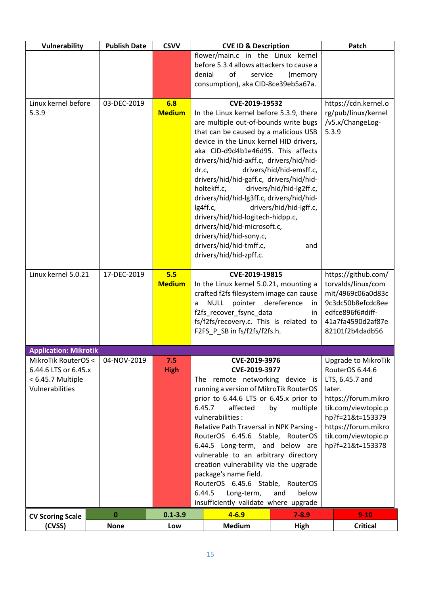| <b>Vulnerability</b>                                                                | <b>Publish Date</b> | <b>CSVV</b>          | <b>CVE ID &amp; Description</b>                                                                                                                                                                                                                                                                                                                                                                                                                                                                                                                                        |                                                  | Patch                                                                                                                                                                                                          |
|-------------------------------------------------------------------------------------|---------------------|----------------------|------------------------------------------------------------------------------------------------------------------------------------------------------------------------------------------------------------------------------------------------------------------------------------------------------------------------------------------------------------------------------------------------------------------------------------------------------------------------------------------------------------------------------------------------------------------------|--------------------------------------------------|----------------------------------------------------------------------------------------------------------------------------------------------------------------------------------------------------------------|
|                                                                                     |                     |                      | flower/main.c in the Linux kernel<br>before 5.3.4 allows attackers to cause a                                                                                                                                                                                                                                                                                                                                                                                                                                                                                          |                                                  |                                                                                                                                                                                                                |
|                                                                                     |                     |                      | of<br>denial<br>service                                                                                                                                                                                                                                                                                                                                                                                                                                                                                                                                                | (memory                                          |                                                                                                                                                                                                                |
|                                                                                     |                     |                      | consumption), aka CID-8ce39eb5a67a.                                                                                                                                                                                                                                                                                                                                                                                                                                                                                                                                    |                                                  |                                                                                                                                                                                                                |
| Linux kernel before                                                                 | 03-DEC-2019         | 6.8                  | CVE-2019-19532                                                                                                                                                                                                                                                                                                                                                                                                                                                                                                                                                         |                                                  | https://cdn.kernel.o                                                                                                                                                                                           |
| 5.3.9                                                                               |                     | <b>Medium</b>        | In the Linux kernel before 5.3.9, there<br>are multiple out-of-bounds write bugs<br>that can be caused by a malicious USB<br>device in the Linux kernel HID drivers,<br>aka CID-d9d4b1e46d95. This affects<br>drivers/hid/hid-axff.c, drivers/hid/hid-<br>dr.c,<br>drivers/hid/hid-emsff.c,<br>drivers/hid/hid-gaff.c, drivers/hid/hid-<br>drivers/hid/hid-lg2ff.c,<br>holtekff.c,<br>drivers/hid/hid-lg3ff.c, drivers/hid/hid-<br>lg4ff.c,<br>drivers/hid/hid-lgff.c,<br>drivers/hid/hid-logitech-hidpp.c,<br>drivers/hid/hid-microsoft.c,<br>drivers/hid/hid-sony.c, | rg/pub/linux/kernel<br>/v5.x/ChangeLog-<br>5.3.9 |                                                                                                                                                                                                                |
|                                                                                     |                     |                      | drivers/hid/hid-tmff.c,<br>drivers/hid/hid-zpff.c.                                                                                                                                                                                                                                                                                                                                                                                                                                                                                                                     | and                                              |                                                                                                                                                                                                                |
| Linux kernel 5.0.21                                                                 | 17-DEC-2019         | 5.5<br><b>Medium</b> | CVE-2019-19815<br>In the Linux kernel 5.0.21, mounting a<br>crafted f2fs filesystem image can cause<br><b>NULL</b><br>pointer<br>dereference<br>a<br>in.<br>f2fs recover fsync data<br>in.<br>fs/f2fs/recovery.c. This is related to<br>F2FS P SB in fs/f2fs/f2fs.h.                                                                                                                                                                                                                                                                                                   |                                                  | https://github.com/<br>torvalds/linux/com<br>mit/4969c06a0d83c<br>9c3dc50b8efcdc8ee<br>edfce896f6#diff-<br>41a7fa4590d2af87e<br>82101f2b4dadb56                                                                |
| <b>Application: Mikrotik</b>                                                        |                     |                      |                                                                                                                                                                                                                                                                                                                                                                                                                                                                                                                                                                        |                                                  |                                                                                                                                                                                                                |
| MikroTik RouterOS <<br>6.44.6 LTS or 6.45.x<br>< 6.45.7 Multiple<br>Vulnerabilities | 04-NOV-2019         | 7.5<br><b>High</b>   | CVE-2019-3976<br>CVE-2019-3977<br>The remote networking device is<br>running a version of MikroTik RouterOS<br>prior to 6.44.6 LTS or 6.45.x prior to<br>6.45.7<br>affected<br>multiple<br>by<br>vulnerabilities :<br>Relative Path Traversal in NPK Parsing -<br>RouterOS 6.45.6 Stable, RouterOS<br>6.44.5 Long-term, and below are<br>vulnerable to an arbitrary directory<br>creation vulnerability via the upgrade<br>package's name field.<br>RouterOS 6.45.6 Stable, RouterOS<br>6.44.5<br>Long-term,<br>and<br>below<br>insufficiently validate where upgrade  |                                                  | <b>Upgrade to MikroTik</b><br>RouterOS 6.44.6<br>LTS, 6.45.7 and<br>later.<br>https://forum.mikro<br>tik.com/viewtopic.p<br>hp?f=21&t=153379<br>https://forum.mikro<br>tik.com/viewtopic.p<br>hp?f=21&t=153378 |
| <b>CV Scoring Scale</b>                                                             | 0                   | $0.1 - 3.9$          | $4 - 6.9$                                                                                                                                                                                                                                                                                                                                                                                                                                                                                                                                                              | $7 - 8.9$                                        | $9 - 10$                                                                                                                                                                                                       |
| (CVSS)                                                                              | <b>None</b>         | Low                  | <b>Medium</b>                                                                                                                                                                                                                                                                                                                                                                                                                                                                                                                                                          | High                                             | <b>Critical</b>                                                                                                                                                                                                |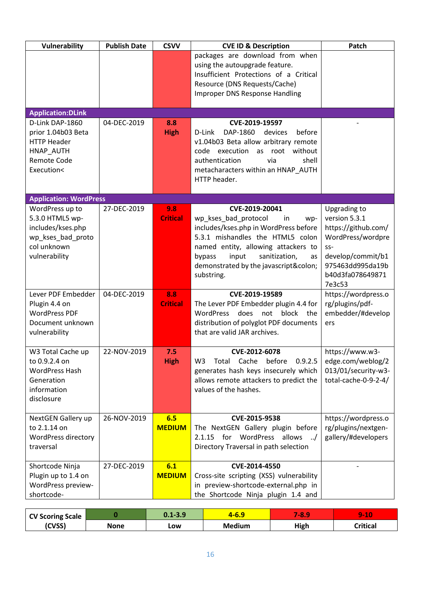| Vulnerability                          | <b>Publish Date</b> | <b>CSVV</b>     | <b>CVE ID &amp; Description</b>                                                               | Patch                                    |
|----------------------------------------|---------------------|-----------------|-----------------------------------------------------------------------------------------------|------------------------------------------|
|                                        |                     |                 | packages are download from when                                                               |                                          |
|                                        |                     |                 | using the autoupgrade feature.                                                                |                                          |
|                                        |                     |                 | Insufficient Protections of a Critical                                                        |                                          |
|                                        |                     |                 | Resource (DNS Requests/Cache)                                                                 |                                          |
|                                        |                     |                 | <b>Improper DNS Response Handling</b>                                                         |                                          |
| <b>Application:DLink</b>               |                     |                 |                                                                                               |                                          |
| D-Link DAP-1860                        | 04-DEC-2019         | 8.8             | CVE-2019-19597                                                                                |                                          |
| prior 1.04b03 Beta                     |                     | <b>High</b>     | D-Link<br>DAP-1860<br>devices<br>before                                                       |                                          |
| <b>HTTP Header</b>                     |                     |                 | v1.04b03 Beta allow arbitrary remote                                                          |                                          |
| HNAP AUTH                              |                     |                 | code execution as root without                                                                |                                          |
| <b>Remote Code</b>                     |                     |                 | authentication<br>shell<br>via                                                                |                                          |
| Execution<                             |                     |                 | metacharacters within an HNAP_AUTH                                                            |                                          |
|                                        |                     |                 | HTTP header.                                                                                  |                                          |
| <b>Application: WordPress</b>          |                     |                 |                                                                                               |                                          |
| WordPress up to                        | 27-DEC-2019         | 9.8             | CVE-2019-20041                                                                                | Upgrading to                             |
| 5.3.0 HTML5 wp-                        |                     | <b>Critical</b> | wp_kses_bad_protocol<br>in<br>wp-                                                             | version 5.3.1                            |
| includes/kses.php                      |                     |                 | includes/kses.php in WordPress before                                                         | https://github.com/                      |
| wp_kses_bad_proto                      |                     |                 | 5.3.1 mishandles the HTML5 colon                                                              | WordPress/wordpre                        |
| col unknown                            |                     |                 | named entity, allowing attackers to                                                           | $SS-$                                    |
| vulnerability                          |                     |                 | input<br>sanitization,<br>bypass<br>as                                                        | develop/commit/b1                        |
|                                        |                     |                 | demonstrated by the javascript:                                                               | 975463dd995da19b                         |
|                                        |                     |                 | substring.                                                                                    | b40d3fa078649871                         |
| Lever PDF Embedder                     | 04-DEC-2019         | 8.8             | CVE-2019-19589                                                                                | 7e3c53<br>https://wordpress.o            |
| Plugin 4.4 on                          |                     | <b>Critical</b> | The Lever PDF Embedder plugin 4.4 for                                                         | rg/plugins/pdf-                          |
| <b>WordPress PDF</b>                   |                     |                 | WordPress does not block the                                                                  | embedder/#develop                        |
| Document unknown                       |                     |                 | distribution of polyglot PDF documents                                                        | ers                                      |
| vulnerability                          |                     |                 | that are valid JAR archives.                                                                  |                                          |
|                                        |                     |                 |                                                                                               |                                          |
| W3 Total Cache up                      | 22-NOV-2019         | 7.5             | CVE-2012-6078                                                                                 | https://www.w3-                          |
| to 0.9.2.4 on<br><b>WordPress Hash</b> |                     | <b>High</b>     | 0.9.2.5<br>W <sub>3</sub><br>Cache<br>before<br>Total<br>generates hash keys insecurely which | edge.com/weblog/2<br>013/01/security-w3- |
| Generation                             |                     |                 | allows remote attackers to predict the                                                        | total-cache-0-9-2-4/                     |
| information                            |                     |                 | values of the hashes.                                                                         |                                          |
| disclosure                             |                     |                 |                                                                                               |                                          |
|                                        |                     |                 |                                                                                               |                                          |
| NextGEN Gallery up                     | 26-NOV-2019         | 6.5             | CVE-2015-9538                                                                                 | https://wordpress.o                      |
| to 2.1.14 on                           |                     | <b>MEDIUM</b>   | The NextGEN Gallery plugin before                                                             | rg/plugins/nextgen-                      |
| <b>WordPress directory</b>             |                     |                 | 2.1.15 for WordPress allows /                                                                 | gallery/#developers                      |
| traversal                              |                     |                 | Directory Traversal in path selection                                                         |                                          |
| Shortcode Ninja                        | 27-DEC-2019         | 6.1             | CVE-2014-4550                                                                                 |                                          |
| Plugin up to 1.4 on                    |                     | <b>MEDIUM</b>   | Cross-site scripting (XSS) vulnerability                                                      |                                          |
| WordPress preview-                     |                     |                 | in preview-shortcode-external.php in                                                          |                                          |
| shortcode-                             |                     |                 | the Shortcode Ninja plugin 1.4 and                                                            |                                          |

| <b>CV Scoring Scale</b> |      | $0.1 - 3.9$ | .o.s          | 48.  | $9 - 10$ |
|-------------------------|------|-------------|---------------|------|----------|
| (CVSS)                  | None | LOW         | <b>Medium</b> | High | Critical |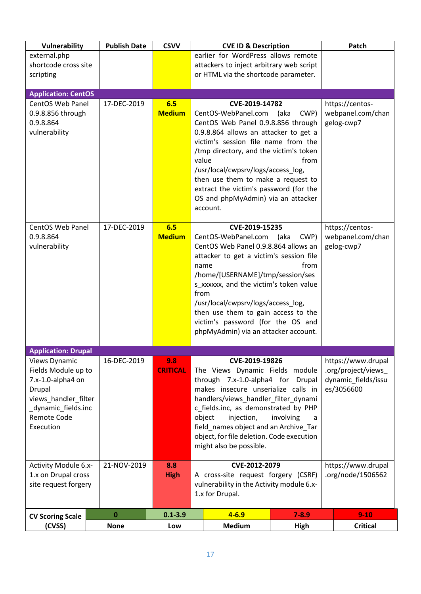| Vulnerability                                                                                                                                        | <b>Publish Date</b> | <b>CSVV</b>            |                                                                                                                                                                                                                                                                                                                                                                          | <b>CVE ID &amp; Description</b>                                                                                                                                                                                                                                                                                                                                                    |                                                    | Patch                                                                          |
|------------------------------------------------------------------------------------------------------------------------------------------------------|---------------------|------------------------|--------------------------------------------------------------------------------------------------------------------------------------------------------------------------------------------------------------------------------------------------------------------------------------------------------------------------------------------------------------------------|------------------------------------------------------------------------------------------------------------------------------------------------------------------------------------------------------------------------------------------------------------------------------------------------------------------------------------------------------------------------------------|----------------------------------------------------|--------------------------------------------------------------------------------|
| external.php                                                                                                                                         |                     |                        |                                                                                                                                                                                                                                                                                                                                                                          | earlier for WordPress allows remote                                                                                                                                                                                                                                                                                                                                                |                                                    |                                                                                |
| shortcode cross site                                                                                                                                 |                     |                        |                                                                                                                                                                                                                                                                                                                                                                          | attackers to inject arbitrary web script                                                                                                                                                                                                                                                                                                                                           |                                                    |                                                                                |
| scripting                                                                                                                                            |                     |                        |                                                                                                                                                                                                                                                                                                                                                                          | or HTML via the shortcode parameter.                                                                                                                                                                                                                                                                                                                                               |                                                    |                                                                                |
| <b>Application: CentOS</b>                                                                                                                           |                     |                        |                                                                                                                                                                                                                                                                                                                                                                          |                                                                                                                                                                                                                                                                                                                                                                                    |                                                    |                                                                                |
| <b>CentOS Web Panel</b><br>0.9.8.856 through<br>0.9.8.864<br>vulnerability                                                                           | 17-DEC-2019         | 6.5<br><b>Medium</b>   | value                                                                                                                                                                                                                                                                                                                                                                    | CVE-2019-14782<br>CentOS-WebPanel.com (aka<br>CentOS Web Panel 0.9.8.856 through<br>0.9.8.864 allows an attacker to get a<br>victim's session file name from the<br>/tmp directory, and the victim's token<br>/usr/local/cwpsrv/logs/access_log,<br>then use them to make a request to<br>extract the victim's password (for the<br>OS and phpMyAdmin) via an attacker<br>account. | https://centos-<br>webpanel.com/chan<br>gelog-cwp7 |                                                                                |
| <b>CentOS Web Panel</b><br>0.9.8.864<br>vulnerability                                                                                                | 17-DEC-2019         | 6.5<br><b>Medium</b>   | name<br>from                                                                                                                                                                                                                                                                                                                                                             | CVE-2019-15235<br>CentOS-WebPanel.com (aka<br>CentOS Web Panel 0.9.8.864 allows an<br>attacker to get a victim's session file<br>/home/[USERNAME]/tmp/session/ses<br>s_xxxxxx, and the victim's token value<br>/usr/local/cwpsrv/logs/access_log,<br>then use them to gain access to the<br>victim's password (for the OS and<br>phpMyAdmin) via an attacker account.              | https://centos-<br>webpanel.com/chan<br>gelog-cwp7 |                                                                                |
| <b>Application: Drupal</b>                                                                                                                           |                     |                        |                                                                                                                                                                                                                                                                                                                                                                          |                                                                                                                                                                                                                                                                                                                                                                                    |                                                    |                                                                                |
| Views Dynamic<br>Fields Module up to<br>7.x-1.0-alpha4 on<br>Drupal<br>views_handler_filter<br>dynamic_fields.inc<br><b>Remote Code</b><br>Execution | 16-DEC-2019         | 9.8<br><b>CRITICAL</b> | CVE-2019-19826<br>The Views Dynamic Fields module<br>through 7.x-1.0-alpha4 for Drupal<br>makes insecure unserialize calls in<br>handlers/views_handler_filter_dynami<br>c_fields.inc, as demonstrated by PHP<br>injection,<br>involving<br>object<br>a<br>field_names object and an Archive_Tar<br>object, for file deletion. Code execution<br>might also be possible. |                                                                                                                                                                                                                                                                                                                                                                                    |                                                    | https://www.drupal<br>.org/project/views_<br>dynamic_fields/issu<br>es/3056600 |
| Activity Module 6.x-                                                                                                                                 | 21-NOV-2019         | 8.8                    |                                                                                                                                                                                                                                                                                                                                                                          | CVE-2012-2079                                                                                                                                                                                                                                                                                                                                                                      |                                                    | https://www.drupal                                                             |
| 1.x on Drupal cross<br>site request forgery                                                                                                          |                     | <b>High</b>            | A cross-site request forgery (CSRF)<br>.org/node/1506562<br>vulnerability in the Activity module 6.x-<br>1.x for Drupal.                                                                                                                                                                                                                                                 |                                                                                                                                                                                                                                                                                                                                                                                    |                                                    |                                                                                |
| <b>CV Scoring Scale</b>                                                                                                                              | $\bf{0}$            | $0.1 - 3.9$            |                                                                                                                                                                                                                                                                                                                                                                          | $4 - 6.9$                                                                                                                                                                                                                                                                                                                                                                          | $7 - 8.9$                                          | $9 - 10$                                                                       |
| (CVSS)                                                                                                                                               | <b>None</b>         | Low                    |                                                                                                                                                                                                                                                                                                                                                                          | <b>Medium</b>                                                                                                                                                                                                                                                                                                                                                                      | High                                               | <b>Critical</b>                                                                |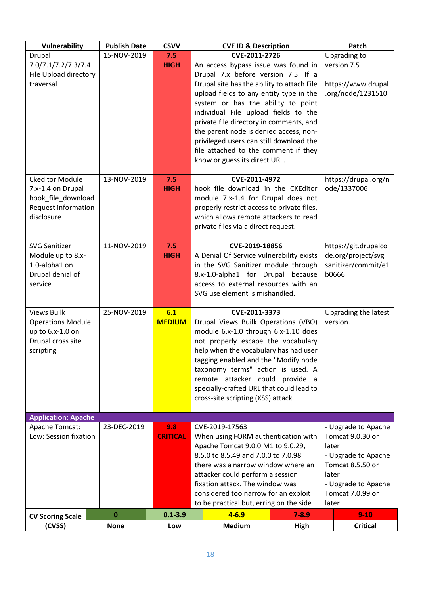| Vulnerability                                                                                        | <b>Publish Date</b>     | <b>CSVV</b>          |                                                                                                                                                                                                                                                                                                                 | <b>CVE ID &amp; Description</b>                                                                                                                                                                                                                                                                                                                                                                                     |                                                                                                                                   | Patch                                                                      |
|------------------------------------------------------------------------------------------------------|-------------------------|----------------------|-----------------------------------------------------------------------------------------------------------------------------------------------------------------------------------------------------------------------------------------------------------------------------------------------------------------|---------------------------------------------------------------------------------------------------------------------------------------------------------------------------------------------------------------------------------------------------------------------------------------------------------------------------------------------------------------------------------------------------------------------|-----------------------------------------------------------------------------------------------------------------------------------|----------------------------------------------------------------------------|
| Drupal<br>7.0/7.1/7.2/7.3/7.4                                                                        | 15-NOV-2019             | 7.5<br><b>HIGH</b>   |                                                                                                                                                                                                                                                                                                                 | CVE-2011-2726<br>An access bypass issue was found in                                                                                                                                                                                                                                                                                                                                                                |                                                                                                                                   | Upgrading to<br>version 7.5                                                |
| File Upload directory<br>traversal                                                                   |                         |                      |                                                                                                                                                                                                                                                                                                                 | Drupal 7.x before version 7.5. If a<br>Drupal site has the ability to attach File<br>upload fields to any entity type in the<br>system or has the ability to point<br>individual File upload fields to the<br>private file directory in comments, and<br>the parent node is denied access, non-<br>privileged users can still download the<br>file attached to the comment if they<br>know or guess its direct URL. |                                                                                                                                   | https://www.drupal<br>.org/node/1231510                                    |
| <b>Ckeditor Module</b><br>7.x-1.4 on Drupal                                                          | 13-NOV-2019             | 7.5<br><b>HIGH</b>   |                                                                                                                                                                                                                                                                                                                 | CVE-2011-4972<br>hook_file_download in the CKEditor                                                                                                                                                                                                                                                                                                                                                                 |                                                                                                                                   | https://drupal.org/n<br>ode/1337006                                        |
| hook_file_download<br><b>Request information</b><br>disclosure                                       |                         |                      |                                                                                                                                                                                                                                                                                                                 | module 7.x-1.4 for Drupal does not<br>properly restrict access to private files,<br>which allows remote attackers to read<br>private files via a direct request.                                                                                                                                                                                                                                                    |                                                                                                                                   |                                                                            |
| <b>SVG Sanitizer</b><br>Module up to 8.x-<br>1.0-alpha1 on<br>Drupal denial of<br>service            | 11-NOV-2019             | 7.5<br><b>HIGH</b>   |                                                                                                                                                                                                                                                                                                                 | CVE-2019-18856<br>A Denial Of Service vulnerability exists<br>in the SVG Sanitizer module through<br>8.x-1.0-alpha1 for Drupal because<br>access to external resources with an<br>SVG use element is mishandled.                                                                                                                                                                                                    |                                                                                                                                   | https://git.drupalco<br>de.org/project/svg<br>sanitizer/commit/e1<br>b0666 |
| <b>Views Builk</b><br><b>Operations Module</b><br>up to 6.x-1.0 on<br>Drupal cross site<br>scripting | 25-NOV-2019             | 6.1<br><b>MEDIUM</b> |                                                                                                                                                                                                                                                                                                                 | CVE-2011-3373<br>Drupal Views Builk Operations (VBO)<br>module 6.x-1.0 through 6.x-1.10 does<br>not properly escape the vocabulary<br>help when the vocabulary has had user<br>tagging enabled and the "Modify node<br>taxonomy terms" action is used. A<br>remote attacker could provide a<br>specially-crafted URL that could lead to<br>cross-site scripting (XSS) attack.                                       |                                                                                                                                   | Upgrading the latest<br>version.                                           |
| <b>Application: Apache</b><br>Apache Tomcat:                                                         | 23-DEC-2019             | 9.8                  |                                                                                                                                                                                                                                                                                                                 | CVE-2019-17563                                                                                                                                                                                                                                                                                                                                                                                                      |                                                                                                                                   | - Upgrade to Apache                                                        |
| Low: Session fixation                                                                                |                         | <b>CRITICAL</b>      | When using FORM authentication with<br>Apache Tomcat 9.0.0.M1 to 9.0.29,<br>8.5.0 to 8.5.49 and 7.0.0 to 7.0.98<br>there was a narrow window where an<br>attacker could perform a session<br>fixation attack. The window was<br>considered too narrow for an exploit<br>to be practical but, erring on the side |                                                                                                                                                                                                                                                                                                                                                                                                                     | Tomcat 9.0.30 or<br>later<br>- Upgrade to Apache<br>Tomcat 8.5.50 or<br>later<br>- Upgrade to Apache<br>Tomcat 7.0.99 or<br>later |                                                                            |
| <b>CV Scoring Scale</b><br>(CVSS)                                                                    | $\bf{0}$<br><b>None</b> | $0.1 - 3.9$<br>Low   |                                                                                                                                                                                                                                                                                                                 | $4 - 6.9$<br><b>Medium</b>                                                                                                                                                                                                                                                                                                                                                                                          | $7 - 8.9$<br><b>High</b>                                                                                                          | $9 - 10$<br><b>Critical</b>                                                |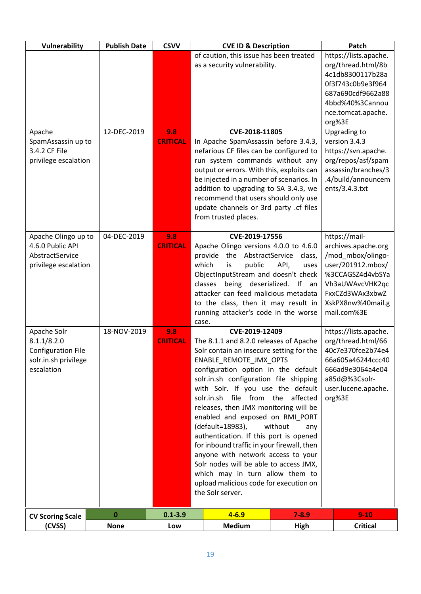| Vulnerability                       | <b>Publish Date</b> | <b>CSVV</b>            | <b>CVE ID &amp; Description</b>                                                  |                | Patch                                       |
|-------------------------------------|---------------------|------------------------|----------------------------------------------------------------------------------|----------------|---------------------------------------------|
|                                     |                     |                        | of caution, this issue has been treated<br>as a security vulnerability.          |                | https://lists.apache.<br>org/thread.html/8b |
|                                     |                     |                        |                                                                                  |                | 4c1db8300117b28a<br>0f3f743c0b9e3f964       |
|                                     |                     |                        |                                                                                  |                | 687a690cdf9662a88                           |
|                                     |                     |                        |                                                                                  |                | 4bbd%40%3Cannou<br>nce.tomcat.apache.       |
|                                     |                     |                        |                                                                                  |                | org%3E                                      |
| Apache<br>SpamAssassin up to        | 12-DEC-2019         | 9.8<br><b>CRITICAL</b> | CVE-2018-11805<br>In Apache SpamAssassin before 3.4.3,                           |                | Upgrading to<br>version 3.4.3               |
| 3.4.2 CF File                       |                     |                        | nefarious CF files can be configured to                                          |                | https://svn.apache.                         |
| privilege escalation                |                     |                        | run system commands without any<br>output or errors. With this, exploits can     |                | org/repos/asf/spam<br>assassin/branches/3   |
|                                     |                     |                        | be injected in a number of scenarios. In                                         |                | .4/build/announcem                          |
|                                     |                     |                        | addition to upgrading to SA 3.4.3, we<br>recommend that users should only use    |                | ents/3.4.3.txt                              |
|                                     |                     |                        | update channels or 3rd party .cf files                                           |                |                                             |
|                                     |                     |                        | from trusted places.                                                             |                |                                             |
| Apache Olingo up to                 | 04-DEC-2019         | 9.8                    | CVE-2019-17556                                                                   |                | https://mail-                               |
| 4.6.0 Public API<br>AbstractService |                     | <b>CRITICAL</b>        | Apache Olingo versions 4.0.0 to 4.6.0<br>the<br>AbstractService<br>provide       | class,         | archives.apache.org<br>/mod_mbox/olingo-    |
| privilege escalation                |                     |                        | which<br>public<br>is                                                            | API,<br>uses   | user/201912.mbox/                           |
|                                     |                     |                        | ObjectInputStream and doesn't check<br>classes being deserialized.               | - If<br>an     | %3CCAGSZ4d4vbSYa<br>Vh3aUWAvcVHK2qc         |
|                                     |                     |                        | attacker can feed malicious metadata                                             |                | FxxCZd3WAx3xbwZ                             |
|                                     |                     |                        | to the class, then it may result in<br>running attacker's code in the worse      |                | XskPX8nw%40mail.g<br>mail.com%3E            |
|                                     |                     |                        | case.                                                                            |                |                                             |
| Apache Solr<br>8.1.1/8.2.0          | 18-NOV-2019         | 9.8<br><b>CRITICAL</b> | CVE-2019-12409<br>The 8.1.1 and 8.2.0 releases of Apache                         |                | https://lists.apache.<br>org/thread.html/66 |
| <b>Configuration File</b>           |                     |                        | Solr contain an insecure setting for the                                         |                | 40c7e370fce2b74e4                           |
| solr.in.sh privilege<br>escalation  |                     |                        | ENABLE REMOTE JMX OPTS<br>configuration option in the default                    |                | 66a605a46244ccc40<br>666ad9e3064a4e04       |
|                                     |                     |                        | solr.in.sh configuration file shipping                                           |                | a85d@%3Csolr-                               |
|                                     |                     |                        | with Solr. If you use the default<br>solr.in.sh file from the affected           |                | user.lucene.apache.<br>org%3E               |
|                                     |                     |                        | releases, then JMX monitoring will be                                            |                |                                             |
|                                     |                     |                        | enabled and exposed on RMI_PORT<br>(default=18983),                              | without<br>any |                                             |
|                                     |                     |                        | authentication. If this port is opened                                           |                |                                             |
|                                     |                     |                        | for inbound traffic in your firewall, then<br>anyone with network access to your |                |                                             |
|                                     |                     |                        | Solr nodes will be able to access JMX,                                           |                |                                             |
|                                     |                     |                        | which may in turn allow them to<br>upload malicious code for execution on        |                |                                             |
|                                     |                     |                        | the Solr server.                                                                 |                |                                             |
|                                     | $\pmb{0}$           | $0.1 - 3.9$            | $4 - 6.9$                                                                        | $7 - 8.9$      | $9 - 10$                                    |
| <b>CV Scoring Scale</b><br>(CVSS)   | <b>None</b>         | Low                    | <b>Medium</b>                                                                    | High           | <b>Critical</b>                             |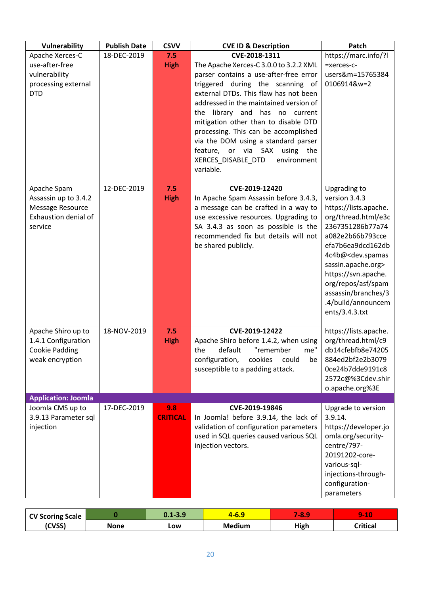| Vulnerability                            | <b>Publish Date</b> | <b>CSVV</b>            | <b>CVE ID &amp; Description</b>                                              | Patch                                   |
|------------------------------------------|---------------------|------------------------|------------------------------------------------------------------------------|-----------------------------------------|
| Apache Xerces-C                          | 18-DEC-2019         | 7.5                    | CVE-2018-1311                                                                | https://marc.info/?l                    |
| use-after-free                           |                     | <b>High</b>            | The Apache Xerces-C 3.0.0 to 3.2.2 XML                                       | =xerces-c-                              |
| vulnerability                            |                     |                        | parser contains a use-after-free error                                       | users&m=15765384                        |
| processing external                      |                     |                        | triggered during the scanning of                                             | 0106914&w=2                             |
| <b>DTD</b>                               |                     |                        | external DTDs. This flaw has not been                                        |                                         |
|                                          |                     |                        | addressed in the maintained version of                                       |                                         |
|                                          |                     |                        | the library and has no current                                               |                                         |
|                                          |                     |                        | mitigation other than to disable DTD<br>processing. This can be accomplished |                                         |
|                                          |                     |                        | via the DOM using a standard parser                                          |                                         |
|                                          |                     |                        | feature, or via SAX using the                                                |                                         |
|                                          |                     |                        | XERCES_DISABLE_DTD<br>environment                                            |                                         |
|                                          |                     |                        | variable.                                                                    |                                         |
|                                          |                     |                        |                                                                              |                                         |
| Apache Spam                              | 12-DEC-2019         | 7.5                    | CVE-2019-12420                                                               | Upgrading to                            |
| Assassin up to 3.4.2                     |                     | <b>High</b>            | In Apache Spam Assassin before 3.4.3,                                        | version 3.4.3                           |
| Message Resource                         |                     |                        | a message can be crafted in a way to                                         | https://lists.apache.                   |
| Exhaustion denial of                     |                     |                        | use excessive resources. Upgrading to                                        | org/thread.html/e3c<br>2367351286b77a74 |
| service                                  |                     |                        | SA 3.4.3 as soon as possible is the<br>recommended fix but details will not  | a082e2b66b793cce                        |
|                                          |                     |                        | be shared publicly.                                                          | efa7b6ea9dcd162db                       |
|                                          |                     |                        |                                                                              | 4c4b@ <dev.spamas< td=""></dev.spamas<> |
|                                          |                     |                        |                                                                              | sassin.apache.org>                      |
|                                          |                     |                        |                                                                              | https://svn.apache.                     |
|                                          |                     |                        |                                                                              | org/repos/asf/spam                      |
|                                          |                     |                        |                                                                              | assassin/branches/3                     |
|                                          |                     |                        |                                                                              | .4/build/announcem                      |
|                                          |                     |                        |                                                                              | ents/3.4.3.txt                          |
| Apache Shiro up to                       | 18-NOV-2019         | 7.5                    | CVE-2019-12422                                                               | https://lists.apache.                   |
| 1.4.1 Configuration                      |                     | <b>High</b>            | Apache Shiro before 1.4.2, when using                                        | org/thread.html/c9                      |
| <b>Cookie Padding</b>                    |                     |                        | me"<br>the<br>default<br>"remember                                           | db14cfebfb8e74205                       |
| weak encryption                          |                     |                        | configuration,<br>could<br>cookies<br>be                                     | 884ed2bf2e2b3079                        |
|                                          |                     |                        | susceptible to a padding attack.                                             | Oce24b7dde9191c8                        |
|                                          |                     |                        |                                                                              | 2572c@%3Cdev.shir                       |
|                                          |                     |                        |                                                                              | o.apache.org%3E                         |
| <b>Application: Joomla</b>               |                     |                        |                                                                              |                                         |
| Joomla CMS up to<br>3.9.13 Parameter sql | 17-DEC-2019         | 9.8<br><b>CRITICAL</b> | CVE-2019-19846<br>In Joomla! before 3.9.14, the lack of                      | Upgrade to version<br>3.9.14.           |
| injection                                |                     |                        | validation of configuration parameters                                       | https://developer.jo                    |
|                                          |                     |                        | used in SQL queries caused various SQL                                       | omla.org/security-                      |
|                                          |                     |                        | injection vectors.                                                           | centre/797-                             |
|                                          |                     |                        |                                                                              | 20191202-core-                          |
|                                          |                     |                        |                                                                              | various-sql-                            |
|                                          |                     |                        |                                                                              | injections-through-                     |
|                                          |                     |                        |                                                                              | configuration-                          |
|                                          |                     |                        |                                                                              | parameters                              |

| <b>CV Scoring Scale</b> |      | $0.1 - 3.9$ | <u>-0. .</u>  | 48.  | <b>A0</b><br><b>SOL</b><br>. . |
|-------------------------|------|-------------|---------------|------|--------------------------------|
| (CVSS)                  | None | LOW         | <b>Medium</b> | High | <b>Critical</b>                |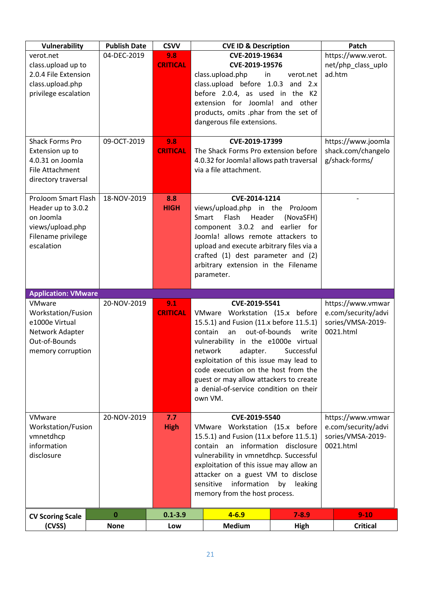| Vulnerability              | <b>Publish Date</b> | <b>CSVV</b>     | <b>CVE ID &amp; Description</b>                                                           |                                          | Patch               |
|----------------------------|---------------------|-----------------|-------------------------------------------------------------------------------------------|------------------------------------------|---------------------|
| verot.net                  | 04-DEC-2019         | 9.8             | CVE-2019-19634                                                                            |                                          | https://www.verot.  |
| class.upload up to         |                     | <b>CRITICAL</b> | CVE-2019-19576                                                                            |                                          | net/php_class_uplo  |
| 2.0.4 File Extension       |                     |                 | class.upload.php<br>in                                                                    | verot.net                                | ad.htm              |
| class.upload.php           |                     |                 | class.upload before 1.0.3 and 2.x                                                         |                                          |                     |
| privilege escalation       |                     |                 | before 2.0.4, as used in the K2                                                           |                                          |                     |
|                            |                     |                 | extension for Joomla! and                                                                 | other                                    |                     |
|                            |                     |                 | products, omits .phar from the set of<br>dangerous file extensions.                       |                                          |                     |
|                            |                     |                 |                                                                                           |                                          |                     |
| <b>Shack Forms Pro</b>     | 09-OCT-2019         | 9.8             | CVE-2019-17399                                                                            |                                          | https://www.joomla  |
| Extension up to            |                     | <b>CRITICAL</b> | The Shack Forms Pro extension before                                                      |                                          | shack.com/changelo  |
| 4.0.31 on Joomla           |                     |                 | 4.0.32 for Joomla! allows path traversal                                                  |                                          | g/shack-forms/      |
| <b>File Attachment</b>     |                     |                 | via a file attachment.                                                                    |                                          |                     |
| directory traversal        |                     |                 |                                                                                           |                                          |                     |
| ProJoom Smart Flash        | 18-NOV-2019         | 8.8             | CVE-2014-1214                                                                             |                                          |                     |
| Header up to 3.0.2         |                     | <b>HIGH</b>     | views/upload.php in the ProJoom                                                           |                                          |                     |
| on Joomla                  |                     |                 | Flash<br>Header<br>Smart                                                                  | (NovaSFH)                                |                     |
| views/upload.php           |                     |                 | component 3.0.2 and                                                                       | earlier for                              |                     |
| Filename privilege         |                     |                 | Joomla! allows remote attackers to                                                        |                                          |                     |
| escalation                 |                     |                 | upload and execute arbitrary files via a                                                  |                                          |                     |
|                            |                     |                 | crafted (1) dest parameter and (2)                                                        |                                          |                     |
|                            |                     |                 | arbitrary extension in the Filename                                                       |                                          |                     |
|                            |                     |                 | parameter.                                                                                |                                          |                     |
| <b>Application: VMware</b> |                     |                 |                                                                                           |                                          |                     |
| VMware                     | 20-NOV-2019         | 9.1             | CVE-2019-5541                                                                             |                                          | https://www.vmwar   |
| Workstation/Fusion         |                     | <b>CRITICAL</b> | VMware Workstation (15.x before                                                           |                                          | e.com/security/advi |
| e1000e Virtual             |                     |                 | 15.5.1) and Fusion (11.x before 11.5.1)                                                   |                                          | sories/VMSA-2019-   |
| Network Adapter            |                     |                 | out-of-bounds<br>contain<br>an                                                            | write                                    | 0021.html           |
| Out-of-Bounds              |                     |                 | vulnerability in the e1000e virtual                                                       |                                          |                     |
| memory corruption          |                     |                 | network<br>adapter.<br>exploitation of this issue may lead to                             | Successful                               |                     |
|                            |                     |                 | code execution on the host from the                                                       |                                          |                     |
|                            |                     |                 | guest or may allow attackers to create                                                    |                                          |                     |
|                            |                     |                 | a denial-of-service condition on their                                                    |                                          |                     |
|                            |                     |                 | own VM.                                                                                   |                                          |                     |
|                            |                     |                 |                                                                                           |                                          |                     |
| VMware                     | 20-NOV-2019         | 7.7             | CVE-2019-5540                                                                             |                                          | https://www.vmwar   |
| Workstation/Fusion         |                     | <b>High</b>     | VMware Workstation (15.x before                                                           | e.com/security/advi<br>sories/VMSA-2019- |                     |
| vmnetdhcp<br>information   |                     |                 | 15.5.1) and Fusion (11.x before 11.5.1)<br>contain an information disclosure<br>0021.html |                                          |                     |
| disclosure                 |                     |                 | vulnerability in vmnetdhcp. Successful                                                    |                                          |                     |
|                            |                     |                 | exploitation of this issue may allow an                                                   |                                          |                     |
|                            |                     |                 | attacker on a guest VM to disclose                                                        |                                          |                     |
|                            |                     |                 | sensitive<br>information<br>by<br>leaking                                                 |                                          |                     |
|                            |                     |                 |                                                                                           |                                          |                     |
|                            |                     |                 | memory from the host process.                                                             |                                          |                     |
| <b>CV Scoring Scale</b>    | $\bf{0}$            | $0.1 - 3.9$     | $4 - 6.9$                                                                                 | $7 - 8.9$                                | $9-10$              |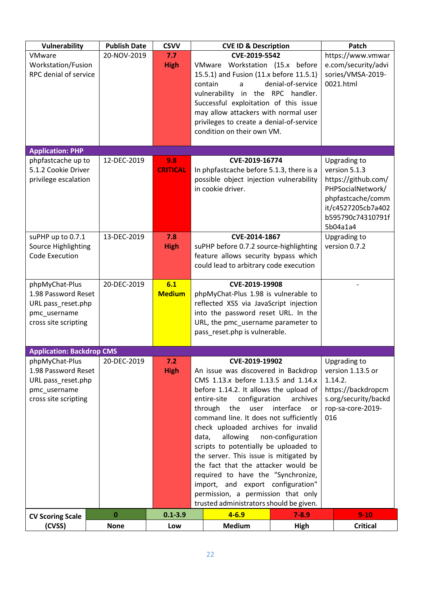| <b>Vulnerability</b>                                                                                | <b>Publish Date</b> | <b>CSVV</b>          | <b>CVE ID &amp; Description</b>                                                                                                                                                                                                                                                                                                                                                                                                                                                                                                                                                                                                                  |           | Patch                                                                                                                                 |
|-----------------------------------------------------------------------------------------------------|---------------------|----------------------|--------------------------------------------------------------------------------------------------------------------------------------------------------------------------------------------------------------------------------------------------------------------------------------------------------------------------------------------------------------------------------------------------------------------------------------------------------------------------------------------------------------------------------------------------------------------------------------------------------------------------------------------------|-----------|---------------------------------------------------------------------------------------------------------------------------------------|
| <b>VMware</b><br>Workstation/Fusion<br>RPC denial of service                                        | 20-NOV-2019         | 7.7<br><b>High</b>   | CVE-2019-5542<br>VMware Workstation (15.x before<br>15.5.1) and Fusion (11.x before 11.5.1)<br>contain<br>denial-of-service<br>a<br>vulnerability in the RPC handler.<br>Successful exploitation of this issue<br>may allow attackers with normal user<br>privileges to create a denial-of-service<br>condition on their own VM.                                                                                                                                                                                                                                                                                                                 |           | https://www.vmwar<br>e.com/security/advi<br>sories/VMSA-2019-<br>0021.html                                                            |
| <b>Application: PHP</b><br>phpfastcache up to                                                       | 12-DEC-2019         | 9.8                  | CVE-2019-16774                                                                                                                                                                                                                                                                                                                                                                                                                                                                                                                                                                                                                                   |           | Upgrading to                                                                                                                          |
| 5.1.2 Cookie Driver<br>privilege escalation                                                         |                     | <b>CRITICAL</b>      | In phpfastcache before 5.1.3, there is a<br>possible object injection vulnerability<br>in cookie driver.                                                                                                                                                                                                                                                                                                                                                                                                                                                                                                                                         |           | version 5.1.3<br>https://github.com/<br>PHPSocialNetwork/<br>phpfastcache/comm<br>it/c4527205cb7a402<br>b595790c74310791f<br>5b04a1a4 |
| suPHP up to 0.7.1<br>Source Highlighting<br>Code Execution                                          | 13-DEC-2019         | 7.8<br><b>High</b>   | CVE-2014-1867<br>suPHP before 0.7.2 source-highlighting<br>feature allows security bypass which<br>could lead to arbitrary code execution                                                                                                                                                                                                                                                                                                                                                                                                                                                                                                        |           | Upgrading to<br>version 0.7.2                                                                                                         |
| phpMyChat-Plus<br>1.98 Password Reset<br>URL pass_reset.php<br>pmc_username<br>cross site scripting | 20-DEC-2019         | 6.1<br><b>Medium</b> | CVE-2019-19908<br>phpMyChat-Plus 1.98 is vulnerable to<br>reflected XSS via JavaScript injection<br>into the password reset URL. In the<br>URL, the pmc_username parameter to<br>pass_reset.php is vulnerable.                                                                                                                                                                                                                                                                                                                                                                                                                                   |           |                                                                                                                                       |
| <b>Application: Backdrop CMS</b>                                                                    |                     |                      |                                                                                                                                                                                                                                                                                                                                                                                                                                                                                                                                                                                                                                                  |           |                                                                                                                                       |
| phpMyChat-Plus<br>1.98 Password Reset<br>URL pass_reset.php<br>pmc_username<br>cross site scripting | 20-DEC-2019         | 7.2<br><b>High</b>   | CVE-2019-19902<br>An issue was discovered in Backdrop<br>CMS 1.13.x before 1.13.5 and 1.14.x<br>before 1.14.2. It allows the upload of<br>entire-site<br>configuration<br>archives<br>through<br>the<br>user<br>interface<br>or<br>command line. It does not sufficiently<br>check uploaded archives for invalid<br>allowing<br>non-configuration<br>data,<br>scripts to potentially be uploaded to<br>the server. This issue is mitigated by<br>the fact that the attacker would be<br>required to have the "Synchronize,<br>import, and export configuration"<br>permission, a permission that only<br>trusted administrators should be given. |           | Upgrading to<br>version 1.13.5 or<br>1.14.2.<br>https://backdropcm<br>s.org/security/backd<br>rop-sa-core-2019-<br>016                |
| <b>CV Scoring Scale</b>                                                                             | $\bf{0}$            | $0.1 - 3.9$          | $4 - 6.9$                                                                                                                                                                                                                                                                                                                                                                                                                                                                                                                                                                                                                                        | $7 - 8.9$ | $9-10$                                                                                                                                |
| (CVSS)                                                                                              | <b>None</b>         | Low                  | <b>Medium</b>                                                                                                                                                                                                                                                                                                                                                                                                                                                                                                                                                                                                                                    | High      | <b>Critical</b>                                                                                                                       |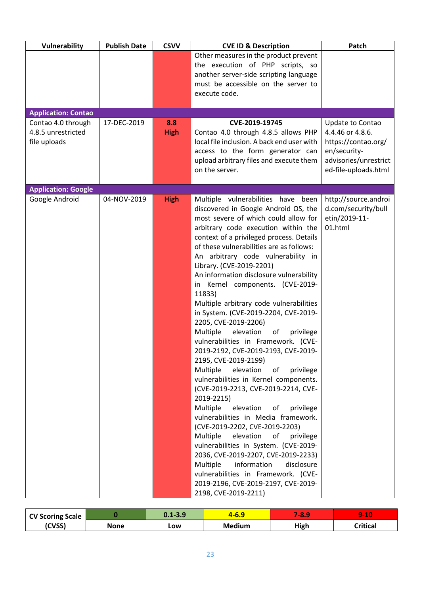| Vulnerability              | <b>Publish Date</b> | <b>CSVV</b> | <b>CVE ID &amp; Description</b>                                  | Patch                 |
|----------------------------|---------------------|-------------|------------------------------------------------------------------|-----------------------|
|                            |                     |             | Other measures in the product prevent                            |                       |
|                            |                     |             | the execution of PHP scripts, so                                 |                       |
|                            |                     |             | another server-side scripting language                           |                       |
|                            |                     |             | must be accessible on the server to                              |                       |
|                            |                     |             | execute code.                                                    |                       |
|                            |                     |             |                                                                  |                       |
| <b>Application: Contao</b> |                     |             |                                                                  |                       |
| Contao 4.0 through         | 17-DEC-2019         | 8.8         | CVE-2019-19745                                                   | Update to Contao      |
| 4.8.5 unrestricted         |                     | <b>High</b> | Contao 4.0 through 4.8.5 allows PHP                              | 4.4.46 or 4.8.6.      |
| file uploads               |                     |             | local file inclusion. A back end user with                       | https://contao.org/   |
|                            |                     |             | access to the form generator can                                 | en/security-          |
|                            |                     |             | upload arbitrary files and execute them                          | advisories/unrestrict |
|                            |                     |             | on the server.                                                   | ed-file-uploads.html  |
| <b>Application: Google</b> |                     |             |                                                                  |                       |
| Google Android             | 04-NOV-2019         | <b>High</b> | Multiple vulnerabilities have been                               | http://source.androi  |
|                            |                     |             | discovered in Google Android OS, the                             | d.com/security/bull   |
|                            |                     |             | most severe of which could allow for                             | etin/2019-11-         |
|                            |                     |             | arbitrary code execution within the                              | 01.html               |
|                            |                     |             | context of a privileged process. Details                         |                       |
|                            |                     |             | of these vulnerabilities are as follows:                         |                       |
|                            |                     |             | An arbitrary code vulnerability in                               |                       |
|                            |                     |             | Library. (CVE-2019-2201)                                         |                       |
|                            |                     |             | An information disclosure vulnerability                          |                       |
|                            |                     |             | in Kernel components. (CVE-2019-                                 |                       |
|                            |                     |             | 11833)                                                           |                       |
|                            |                     |             | Multiple arbitrary code vulnerabilities                          |                       |
|                            |                     |             | in System. (CVE-2019-2204, CVE-2019-                             |                       |
|                            |                     |             | 2205, CVE-2019-2206)                                             |                       |
|                            |                     |             | Multiple<br>elevation<br>οf<br>privilege                         |                       |
|                            |                     |             | vulnerabilities in Framework. (CVE-                              |                       |
|                            |                     |             | 2019-2192, CVE-2019-2193, CVE-2019-                              |                       |
|                            |                     |             | 2195, CVE-2019-2199)<br>Multiple<br>elevation<br>of<br>privilege |                       |
|                            |                     |             | vulnerabilities in Kernel components.                            |                       |
|                            |                     |             | (CVE-2019-2213, CVE-2019-2214, CVE-                              |                       |
|                            |                     |             | 2019-2215)                                                       |                       |
|                            |                     |             | Multiple<br>elevation<br>of<br>privilege                         |                       |
|                            |                     |             | vulnerabilities in Media framework.                              |                       |
|                            |                     |             | (CVE-2019-2202, CVE-2019-2203)                                   |                       |
|                            |                     |             | Multiple<br>elevation<br>of<br>privilege                         |                       |
|                            |                     |             | vulnerabilities in System. (CVE-2019-                            |                       |
|                            |                     |             | 2036, CVE-2019-2207, CVE-2019-2233)                              |                       |
|                            |                     |             | information<br>Multiple<br>disclosure                            |                       |
|                            |                     |             | vulnerabilities in Framework. (CVE-                              |                       |
|                            |                     |             | 2019-2196, CVE-2019-2197, CVE-2019-                              |                       |
|                            |                     |             | 2198, CVE-2019-2211)                                             |                       |

| <b>CV Scoring Scale</b> |      | $0.1 - 3.9$ | <u>-0.5</u>   | <b>T-81</b> | $\overline{\phantom{a}}$<br><b>START OF BUILDING</b> |
|-------------------------|------|-------------|---------------|-------------|------------------------------------------------------|
| (CVSS)                  | None | LOW         | <b>Medium</b> | High        | <b>Critical</b>                                      |